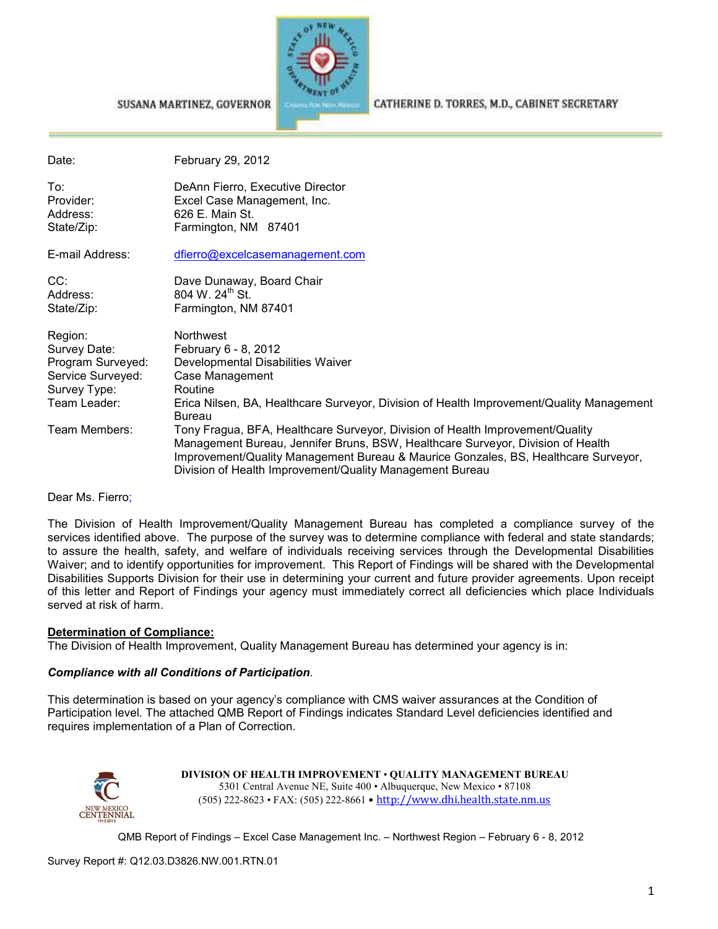

#### CATHERINE D. TORRES, M.D., CABINET SECRETARY

| Date:                                                                                                              | February 29, 2012                                                                                                                                                                                                                                                                                                                                                                                                                                                                                                                       |
|--------------------------------------------------------------------------------------------------------------------|-----------------------------------------------------------------------------------------------------------------------------------------------------------------------------------------------------------------------------------------------------------------------------------------------------------------------------------------------------------------------------------------------------------------------------------------------------------------------------------------------------------------------------------------|
| To∶<br>Provider:<br>Address:<br>State/Zip:                                                                         | DeAnn Fierro, Executive Director<br>Excel Case Management, Inc.<br>626 E. Main St.<br>Farmington, NM 87401                                                                                                                                                                                                                                                                                                                                                                                                                              |
| E-mail Address:                                                                                                    | dfierro@excelcasemanagement.com                                                                                                                                                                                                                                                                                                                                                                                                                                                                                                         |
| CC:<br>Address:<br>State/Zip:                                                                                      | Dave Dunaway, Board Chair<br>804 W. 24 <sup>th</sup> St.<br>Farmington, NM 87401                                                                                                                                                                                                                                                                                                                                                                                                                                                        |
| Region:<br>Survey Date:<br>Program Surveyed:<br>Service Surveyed:<br>Survey Type:<br>Team Leader:<br>Team Members: | Northwest<br>February 6 - 8, 2012<br>Developmental Disabilities Waiver<br>Case Management<br>Routine<br>Erica Nilsen, BA, Healthcare Surveyor, Division of Health Improvement/Quality Management<br><b>Bureau</b><br>Tony Fragua, BFA, Healthcare Surveyor, Division of Health Improvement/Quality<br>Management Bureau, Jennifer Bruns, BSW, Healthcare Surveyor, Division of Health<br>Improvement/Quality Management Bureau & Maurice Gonzales, BS, Healthcare Surveyor,<br>Division of Health Improvement/Quality Management Bureau |

#### Dear Ms. Fierro;

The Division of Health Improvement/Quality Management Bureau has completed a compliance survey of the services identified above. The purpose of the survey was to determine compliance with federal and state standards; to assure the health, safety, and welfare of individuals receiving services through the Developmental Disabilities Waiver; and to identify opportunities for improvement. This Report of Findings will be shared with the Developmental Disabilities Supports Division for their use in determining your current and future provider agreements. Upon receipt of this letter and Report of Findings your agency must immediately correct all deficiencies which place Individuals served at risk of harm.

#### **Determination of Compliance:**

The Division of Health Improvement, Quality Management Bureau has determined your agency is in:

#### *Compliance with all Conditions of Participation*.

SUSANA MARTINEZ, GOVERNOR

This determination is based on your agency's compliance with CMS waiver assurances at the Condition of Participation level. The attached QMB Report of Findings indicates Standard Level deficiencies identified and requires implementation of a Plan of Correction.



**DIVISION OF HEALTH IMPROVEMENT** • **QUALITY MANAGEMENT BUREAU** 5301 Central Avenue NE, Suite 400 • Albuquerque, New Mexico • 87108 (505) 222-8623 • FAX: (505) 222-8661 • http://www.dhi.health.state.nm.us

QMB Report of Findings – Excel Case Management Inc. – Northwest Region – February 6 - 8, 2012

Survey Report #: Q12.03.D3826.NW.001.RTN.01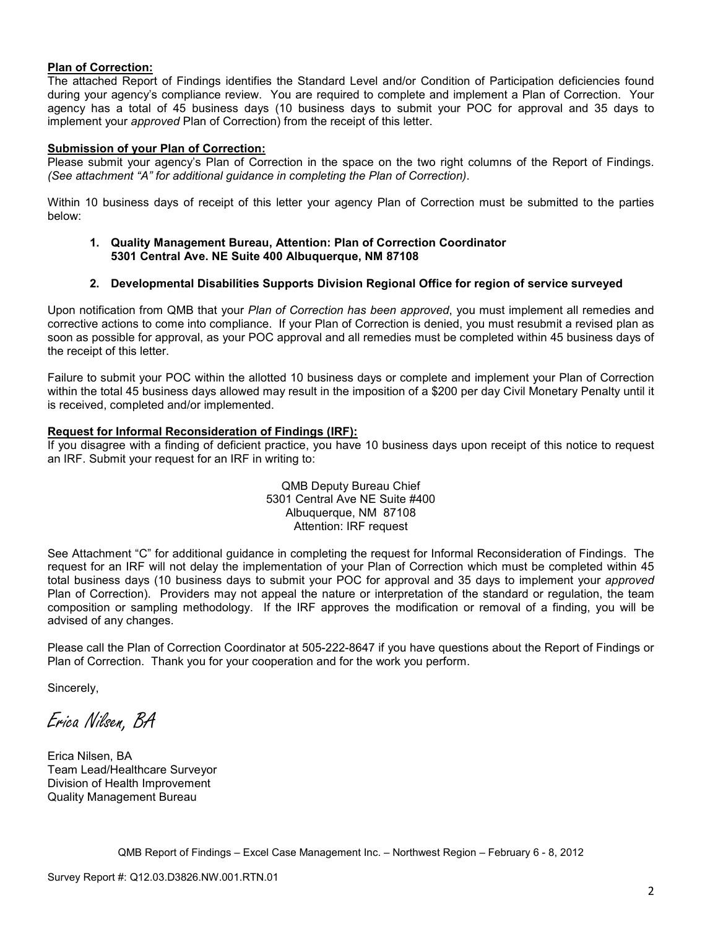#### **Plan of Correction:**

The attached Report of Findings identifies the Standard Level and/or Condition of Participation deficiencies found during your agency's compliance review. You are required to complete and implement a Plan of Correction. Your agency has a total of 45 business days (10 business days to submit your POC for approval and 35 days to implement your *approved* Plan of Correction) from the receipt of this letter.

#### **Submission of your Plan of Correction:**

Please submit your agency's Plan of Correction in the space on the two right columns of the Report of Findings. *(See attachment "A" for additional guidance in completing the Plan of Correction)*.

Within 10 business days of receipt of this letter your agency Plan of Correction must be submitted to the parties below:

#### **1. Quality Management Bureau, Attention: Plan of Correction Coordinator 5301 Central Ave. NE Suite 400 Albuquerque, NM 87108**

#### **2. Developmental Disabilities Supports Division Regional Office for region of service surveyed**

Upon notification from QMB that your *Plan of Correction has been approved*, you must implement all remedies and corrective actions to come into compliance. If your Plan of Correction is denied, you must resubmit a revised plan as soon as possible for approval, as your POC approval and all remedies must be completed within 45 business days of the receipt of this letter.

Failure to submit your POC within the allotted 10 business days or complete and implement your Plan of Correction within the total 45 business days allowed may result in the imposition of a \$200 per day Civil Monetary Penalty until it is received, completed and/or implemented.

#### **Request for Informal Reconsideration of Findings (IRF):**

If you disagree with a finding of deficient practice, you have 10 business days upon receipt of this notice to request an IRF. Submit your request for an IRF in writing to:

> QMB Deputy Bureau Chief 5301 Central Ave NE Suite #400 Albuquerque, NM 87108 Attention: IRF request

See Attachment "C" for additional guidance in completing the request for Informal Reconsideration of Findings. The request for an IRF will not delay the implementation of your Plan of Correction which must be completed within 45 total business days (10 business days to submit your POC for approval and 35 days to implement your *approved* Plan of Correction). Providers may not appeal the nature or interpretation of the standard or regulation, the team composition or sampling methodology. If the IRF approves the modification or removal of a finding, you will be advised of any changes.

Please call the Plan of Correction Coordinator at 505-222-8647 if you have questions about the Report of Findings or Plan of Correction. Thank you for your cooperation and for the work you perform.

Sincerely,

Erica Nilsen, BA

Erica Nilsen, BA Team Lead/Healthcare Surveyor Division of Health Improvement Quality Management Bureau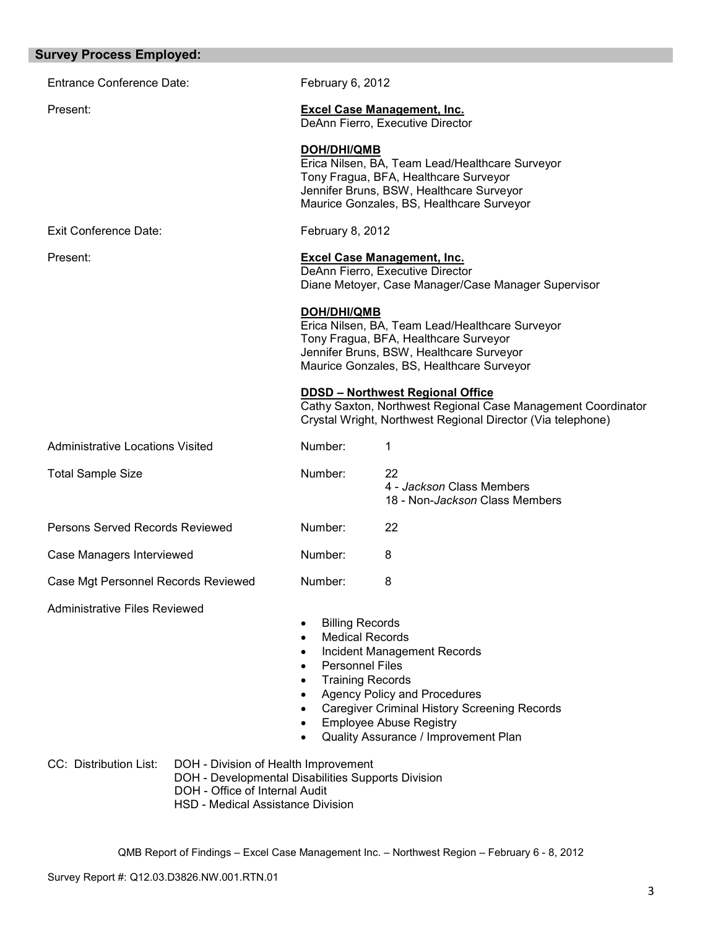| <b>Survey Process Employed:</b>                                                                                                                                                             |                                                                                                                                                                                          |                                                                                                                                                                                                            |
|---------------------------------------------------------------------------------------------------------------------------------------------------------------------------------------------|------------------------------------------------------------------------------------------------------------------------------------------------------------------------------------------|------------------------------------------------------------------------------------------------------------------------------------------------------------------------------------------------------------|
| <b>Entrance Conference Date:</b>                                                                                                                                                            | February 6, 2012                                                                                                                                                                         |                                                                                                                                                                                                            |
| Present:                                                                                                                                                                                    |                                                                                                                                                                                          | <b>Excel Case Management, Inc.</b><br>DeAnn Fierro, Executive Director                                                                                                                                     |
|                                                                                                                                                                                             | <b>DOH/DHI/QMB</b>                                                                                                                                                                       | Erica Nilsen, BA, Team Lead/Healthcare Surveyor<br>Tony Fragua, BFA, Healthcare Surveyor<br>Jennifer Bruns, BSW, Healthcare Surveyor<br>Maurice Gonzales, BS, Healthcare Surveyor                          |
| <b>Exit Conference Date:</b>                                                                                                                                                                | February 8, 2012                                                                                                                                                                         |                                                                                                                                                                                                            |
| Present:                                                                                                                                                                                    |                                                                                                                                                                                          | <b>Excel Case Management, Inc.</b><br>DeAnn Fierro, Executive Director<br>Diane Metoyer, Case Manager/Case Manager Supervisor                                                                              |
|                                                                                                                                                                                             | <b>DOH/DHI/QMB</b>                                                                                                                                                                       | Erica Nilsen, BA, Team Lead/Healthcare Surveyor<br>Tony Fragua, BFA, Healthcare Surveyor<br>Jennifer Bruns, BSW, Healthcare Surveyor<br>Maurice Gonzales, BS, Healthcare Surveyor                          |
|                                                                                                                                                                                             |                                                                                                                                                                                          | <b>DDSD - Northwest Regional Office</b><br>Cathy Saxton, Northwest Regional Case Management Coordinator<br>Crystal Wright, Northwest Regional Director (Via telephone)                                     |
| <b>Administrative Locations Visited</b>                                                                                                                                                     | Number:                                                                                                                                                                                  | 1                                                                                                                                                                                                          |
| <b>Total Sample Size</b>                                                                                                                                                                    | Number:                                                                                                                                                                                  | 22<br>4 - Jackson Class Members<br>18 - Non-Jackson Class Members                                                                                                                                          |
| Persons Served Records Reviewed                                                                                                                                                             | Number:                                                                                                                                                                                  | 22                                                                                                                                                                                                         |
| Case Managers Interviewed                                                                                                                                                                   | Number:                                                                                                                                                                                  | 8                                                                                                                                                                                                          |
| Case Mgt Personnel Records Reviewed                                                                                                                                                         | Number:                                                                                                                                                                                  | 8                                                                                                                                                                                                          |
| <b>Administrative Files Reviewed</b>                                                                                                                                                        | <b>Billing Records</b><br>$\bullet$<br><b>Medical Records</b><br>$\bullet$<br>٠<br><b>Personnel Files</b><br>$\bullet$<br><b>Training Records</b><br>$\bullet$<br>$\bullet$<br>$\bullet$ | <b>Incident Management Records</b><br><b>Agency Policy and Procedures</b><br><b>Caregiver Criminal History Screening Records</b><br><b>Employee Abuse Registry</b><br>Quality Assurance / Improvement Plan |
| CC: Distribution List:<br>DOH - Division of Health Improvement<br>DOH - Developmental Disabilities Supports Division<br>DOH - Office of Internal Audit<br>HSD - Medical Assistance Division |                                                                                                                                                                                          |                                                                                                                                                                                                            |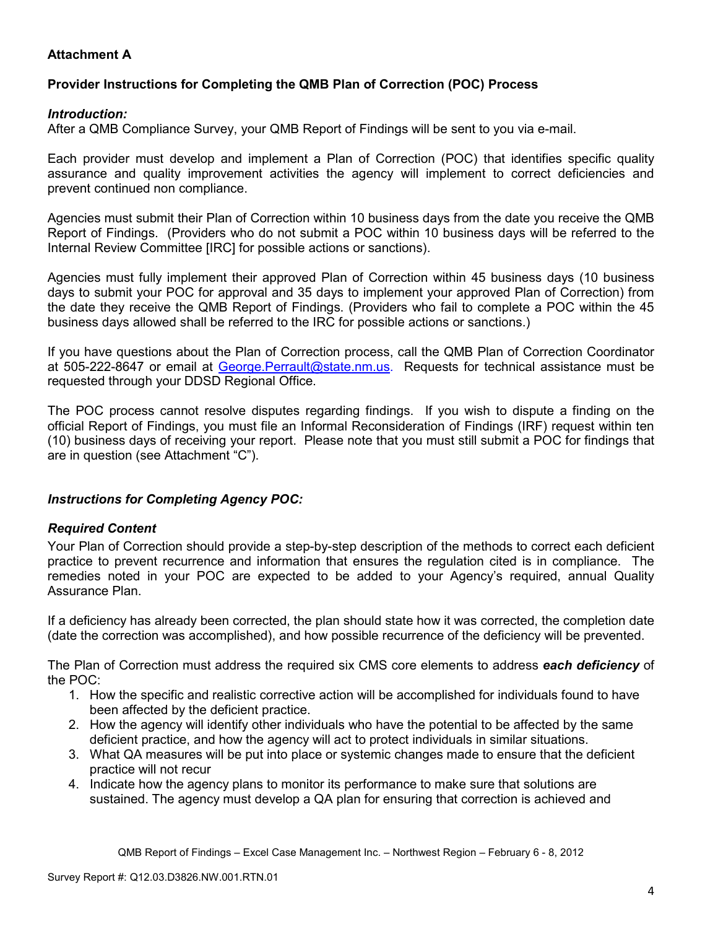# **Attachment A**

## **Provider Instructions for Completing the QMB Plan of Correction (POC) Process**

## *Introduction:*

After a QMB Compliance Survey, your QMB Report of Findings will be sent to you via e-mail.

Each provider must develop and implement a Plan of Correction (POC) that identifies specific quality assurance and quality improvement activities the agency will implement to correct deficiencies and prevent continued non compliance.

Agencies must submit their Plan of Correction within 10 business days from the date you receive the QMB Report of Findings. (Providers who do not submit a POC within 10 business days will be referred to the Internal Review Committee [IRC] for possible actions or sanctions).

Agencies must fully implement their approved Plan of Correction within 45 business days (10 business days to submit your POC for approval and 35 days to implement your approved Plan of Correction) from the date they receive the QMB Report of Findings. (Providers who fail to complete a POC within the 45 business days allowed shall be referred to the IRC for possible actions or sanctions.)

If you have questions about the Plan of Correction process, call the QMB Plan of Correction Coordinator at 505-222-8647 or email at George. Perrault@state.nm.us. Requests for technical assistance must be requested through your DDSD Regional Office.

The POC process cannot resolve disputes regarding findings. If you wish to dispute a finding on the official Report of Findings, you must file an Informal Reconsideration of Findings (IRF) request within ten (10) business days of receiving your report. Please note that you must still submit a POC for findings that are in question (see Attachment "C").

## *Instructions for Completing Agency POC:*

## *Required Content*

Your Plan of Correction should provide a step-by-step description of the methods to correct each deficient practice to prevent recurrence and information that ensures the regulation cited is in compliance. The remedies noted in your POC are expected to be added to your Agency's required, annual Quality Assurance Plan.

If a deficiency has already been corrected, the plan should state how it was corrected, the completion date (date the correction was accomplished), and how possible recurrence of the deficiency will be prevented.

The Plan of Correction must address the required six CMS core elements to address *each deficiency* of the POC:

- 1. How the specific and realistic corrective action will be accomplished for individuals found to have been affected by the deficient practice.
- 2. How the agency will identify other individuals who have the potential to be affected by the same deficient practice, and how the agency will act to protect individuals in similar situations.
- 3. What QA measures will be put into place or systemic changes made to ensure that the deficient practice will not recur
- 4. Indicate how the agency plans to monitor its performance to make sure that solutions are sustained. The agency must develop a QA plan for ensuring that correction is achieved and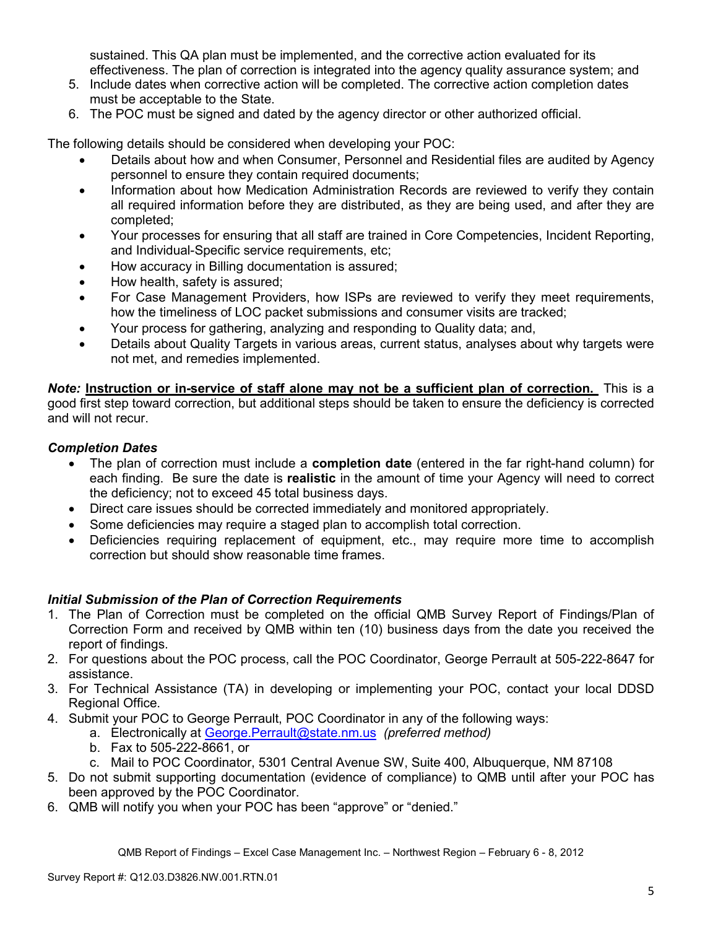sustained. This QA plan must be implemented, and the corrective action evaluated for its effectiveness. The plan of correction is integrated into the agency quality assurance system; and

- 5. Include dates when corrective action will be completed. The corrective action completion dates must be acceptable to the State.
- 6. The POC must be signed and dated by the agency director or other authorized official.

The following details should be considered when developing your POC:

- Details about how and when Consumer, Personnel and Residential files are audited by Agency personnel to ensure they contain required documents;
- Information about how Medication Administration Records are reviewed to verify they contain all required information before they are distributed, as they are being used, and after they are completed;
- Your processes for ensuring that all staff are trained in Core Competencies, Incident Reporting, and Individual-Specific service requirements, etc;
- How accuracy in Billing documentation is assured;
- How health, safety is assured;
- For Case Management Providers, how ISPs are reviewed to verify they meet requirements, how the timeliness of LOC packet submissions and consumer visits are tracked;
- Your process for gathering, analyzing and responding to Quality data; and,
- Details about Quality Targets in various areas, current status, analyses about why targets were not met, and remedies implemented.

*Note:* **Instruction or in-service of staff alone may not be a sufficient plan of correction.** This is a good first step toward correction, but additional steps should be taken to ensure the deficiency is corrected and will not recur.

## *Completion Dates*

- The plan of correction must include a **completion date** (entered in the far right-hand column) for each finding. Be sure the date is **realistic** in the amount of time your Agency will need to correct the deficiency; not to exceed 45 total business days.
- Direct care issues should be corrected immediately and monitored appropriately.
- Some deficiencies may require a staged plan to accomplish total correction.
- Deficiencies requiring replacement of equipment, etc., may require more time to accomplish correction but should show reasonable time frames.

## *Initial Submission of the Plan of Correction Requirements*

- 1. The Plan of Correction must be completed on the official QMB Survey Report of Findings/Plan of Correction Form and received by QMB within ten (10) business days from the date you received the report of findings.
- 2. For questions about the POC process, call the POC Coordinator, George Perrault at 505-222-8647 for assistance.
- 3. For Technical Assistance (TA) in developing or implementing your POC, contact your local DDSD Regional Office.
- 4. Submit your POC to George Perrault, POC Coordinator in any of the following ways:
	- a. Electronically at George.Perrault@state.nm.us *(preferred method)*
	- b. Fax to 505-222-8661, or
	- c. Mail to POC Coordinator, 5301 Central Avenue SW, Suite 400, Albuquerque, NM 87108
- 5. Do not submit supporting documentation (evidence of compliance) to QMB until after your POC has been approved by the POC Coordinator.
- 6. QMB will notify you when your POC has been "approve" or "denied."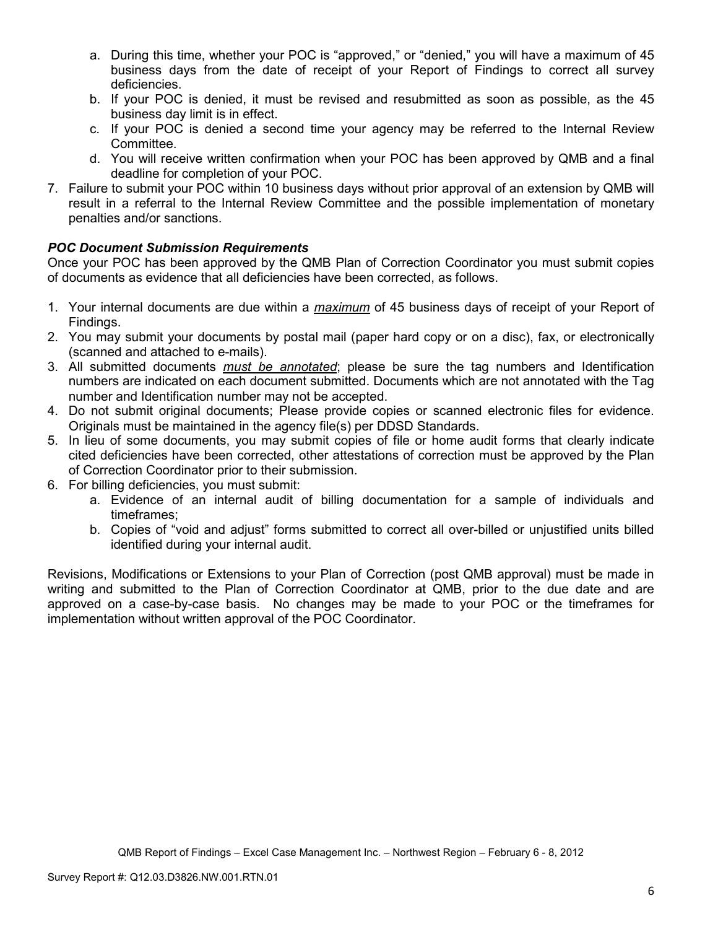- a. During this time, whether your POC is "approved," or "denied," you will have a maximum of 45 business days from the date of receipt of your Report of Findings to correct all survey deficiencies.
- b. If your POC is denied, it must be revised and resubmitted as soon as possible, as the 45 business day limit is in effect.
- c. If your POC is denied a second time your agency may be referred to the Internal Review Committee.
- d. You will receive written confirmation when your POC has been approved by QMB and a final deadline for completion of your POC.
- 7. Failure to submit your POC within 10 business days without prior approval of an extension by QMB will result in a referral to the Internal Review Committee and the possible implementation of monetary penalties and/or sanctions.

## *POC Document Submission Requirements*

Once your POC has been approved by the QMB Plan of Correction Coordinator you must submit copies of documents as evidence that all deficiencies have been corrected, as follows.

- 1. Your internal documents are due within a *maximum* of 45 business days of receipt of your Report of Findings.
- 2. You may submit your documents by postal mail (paper hard copy or on a disc), fax, or electronically (scanned and attached to e-mails).
- 3. All submitted documents *must be annotated*; please be sure the tag numbers and Identification numbers are indicated on each document submitted. Documents which are not annotated with the Tag number and Identification number may not be accepted.
- 4. Do not submit original documents; Please provide copies or scanned electronic files for evidence. Originals must be maintained in the agency file(s) per DDSD Standards.
- 5. In lieu of some documents, you may submit copies of file or home audit forms that clearly indicate cited deficiencies have been corrected, other attestations of correction must be approved by the Plan of Correction Coordinator prior to their submission.
- 6. For billing deficiencies, you must submit:
	- a. Evidence of an internal audit of billing documentation for a sample of individuals and timeframes;
	- b. Copies of "void and adjust" forms submitted to correct all over-billed or unjustified units billed identified during your internal audit.

Revisions, Modifications or Extensions to your Plan of Correction (post QMB approval) must be made in writing and submitted to the Plan of Correction Coordinator at QMB, prior to the due date and are approved on a case-by-case basis. No changes may be made to your POC or the timeframes for implementation without written approval of the POC Coordinator.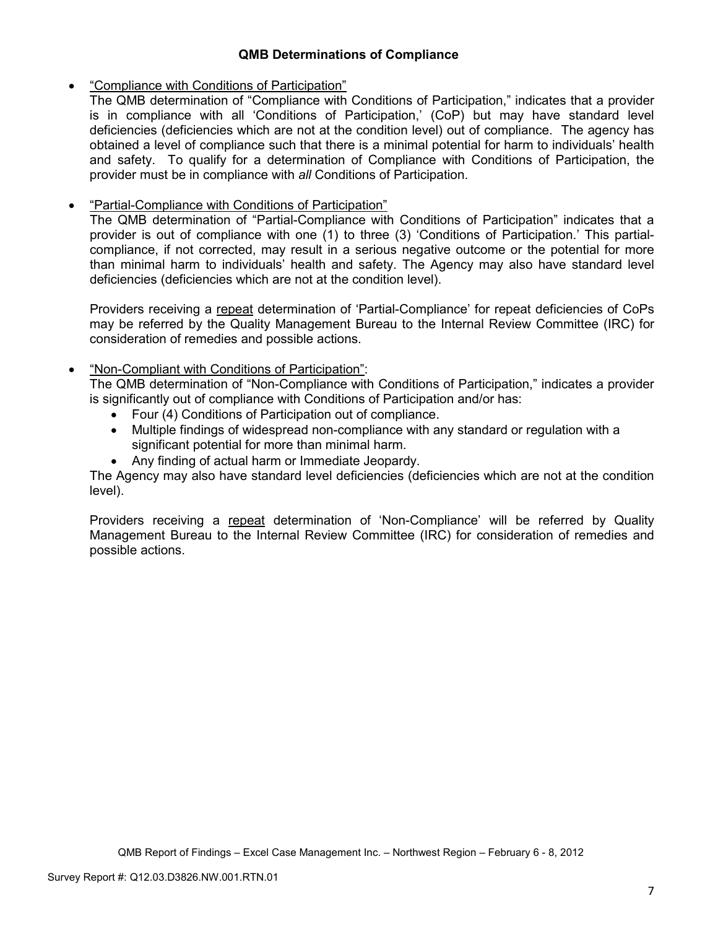## **QMB Determinations of Compliance**

## • "Compliance with Conditions of Participation"

The QMB determination of "Compliance with Conditions of Participation," indicates that a provider is in compliance with all 'Conditions of Participation,' (CoP) but may have standard level deficiencies (deficiencies which are not at the condition level) out of compliance. The agency has obtained a level of compliance such that there is a minimal potential for harm to individuals' health and safety. To qualify for a determination of Compliance with Conditions of Participation, the provider must be in compliance with *all* Conditions of Participation.

# • "Partial-Compliance with Conditions of Participation"

The QMB determination of "Partial-Compliance with Conditions of Participation" indicates that a provider is out of compliance with one (1) to three (3) 'Conditions of Participation.' This partialcompliance, if not corrected, may result in a serious negative outcome or the potential for more than minimal harm to individuals' health and safety. The Agency may also have standard level deficiencies (deficiencies which are not at the condition level).

Providers receiving a repeat determination of 'Partial-Compliance' for repeat deficiencies of CoPs may be referred by the Quality Management Bureau to the Internal Review Committee (IRC) for consideration of remedies and possible actions.

## • "Non-Compliant with Conditions of Participation":

The QMB determination of "Non-Compliance with Conditions of Participation," indicates a provider is significantly out of compliance with Conditions of Participation and/or has:

- Four (4) Conditions of Participation out of compliance.
- Multiple findings of widespread non-compliance with any standard or regulation with a significant potential for more than minimal harm.
- Any finding of actual harm or Immediate Jeopardy.

The Agency may also have standard level deficiencies (deficiencies which are not at the condition level).

Providers receiving a repeat determination of 'Non-Compliance' will be referred by Quality Management Bureau to the Internal Review Committee (IRC) for consideration of remedies and possible actions.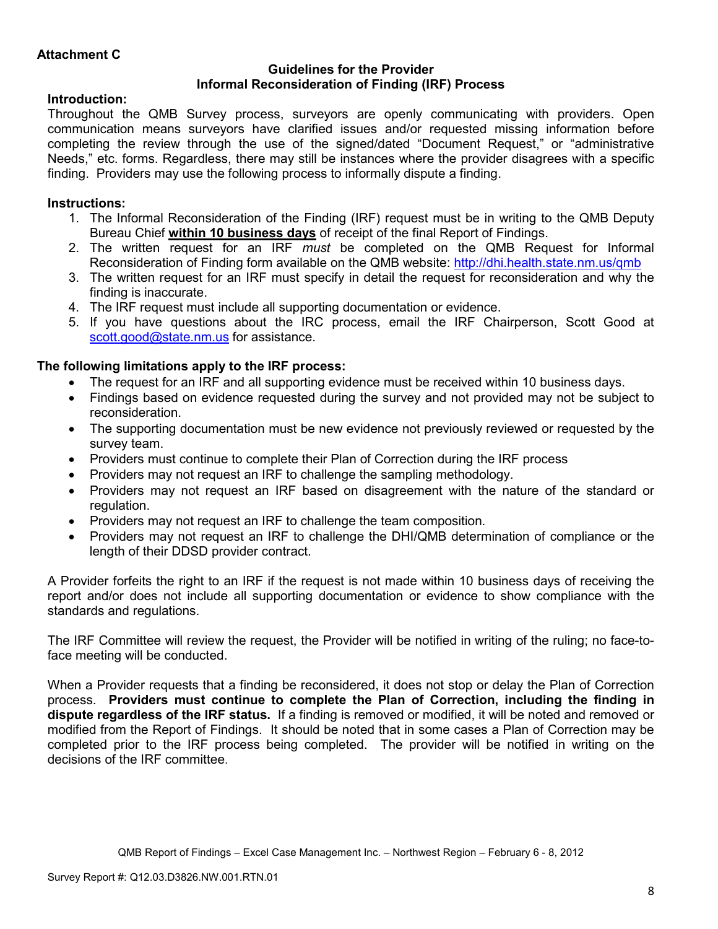### **Guidelines for the Provider Informal Reconsideration of Finding (IRF) Process**

## **Introduction:**

Throughout the QMB Survey process, surveyors are openly communicating with providers. Open communication means surveyors have clarified issues and/or requested missing information before completing the review through the use of the signed/dated "Document Request," or "administrative Needs," etc. forms. Regardless, there may still be instances where the provider disagrees with a specific finding. Providers may use the following process to informally dispute a finding.

# **Instructions:**

- 1. The Informal Reconsideration of the Finding (IRF) request must be in writing to the QMB Deputy Bureau Chief **within 10 business days** of receipt of the final Report of Findings.
- 2. The written request for an IRF *must* be completed on the QMB Request for Informal Reconsideration of Finding form available on the QMB website: http://dhi.health.state.nm.us/qmb
- 3. The written request for an IRF must specify in detail the request for reconsideration and why the finding is inaccurate.
- 4. The IRF request must include all supporting documentation or evidence.
- 5. If you have questions about the IRC process, email the IRF Chairperson, Scott Good at scott.good@state.nm.us for assistance.

## **The following limitations apply to the IRF process:**

- The request for an IRF and all supporting evidence must be received within 10 business days.
- Findings based on evidence requested during the survey and not provided may not be subject to reconsideration.
- The supporting documentation must be new evidence not previously reviewed or requested by the survey team.
- Providers must continue to complete their Plan of Correction during the IRF process
- Providers may not request an IRF to challenge the sampling methodology.
- Providers may not request an IRF based on disagreement with the nature of the standard or regulation.
- Providers may not request an IRF to challenge the team composition.
- Providers may not request an IRF to challenge the DHI/QMB determination of compliance or the length of their DDSD provider contract.

A Provider forfeits the right to an IRF if the request is not made within 10 business days of receiving the report and/or does not include all supporting documentation or evidence to show compliance with the standards and regulations.

The IRF Committee will review the request, the Provider will be notified in writing of the ruling; no face-toface meeting will be conducted.

When a Provider requests that a finding be reconsidered, it does not stop or delay the Plan of Correction process. **Providers must continue to complete the Plan of Correction, including the finding in dispute regardless of the IRF status.** If a finding is removed or modified, it will be noted and removed or modified from the Report of Findings. It should be noted that in some cases a Plan of Correction may be completed prior to the IRF process being completed. The provider will be notified in writing on the decisions of the IRF committee.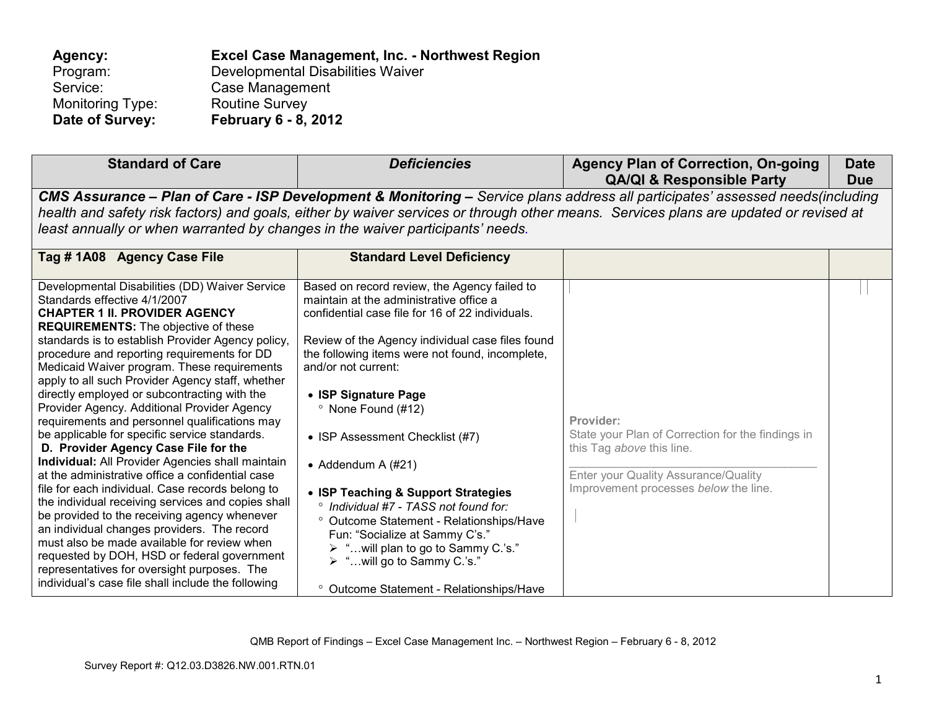| Agency:          | Excel Case Management, Inc. - Northwest Region |
|------------------|------------------------------------------------|
| Program:         | Developmental Disabilities Waiver              |
| Service:         | Case Management                                |
| Monitoring Type: | <b>Routine Survey</b>                          |
| Date of Survey:  | <b>February 6 - 8, 2012</b>                    |

| <b>Standard of Care</b>                                                                                                                                                                                                                                                                                                                                                                                                                                                                                                                                                                                                                                                                                                                                                                                                                                                                                                                                                                                                                                                                                                                   | <b>Deficiencies</b>                                                                                                                                                                                                                                                                                                                                                                                                                                                                                                                                                                                                                                                                     | <b>Agency Plan of Correction, On-going</b><br><b>QA/QI &amp; Responsible Party</b>                                                                                           | <b>Date</b><br><b>Due</b> |  |
|-------------------------------------------------------------------------------------------------------------------------------------------------------------------------------------------------------------------------------------------------------------------------------------------------------------------------------------------------------------------------------------------------------------------------------------------------------------------------------------------------------------------------------------------------------------------------------------------------------------------------------------------------------------------------------------------------------------------------------------------------------------------------------------------------------------------------------------------------------------------------------------------------------------------------------------------------------------------------------------------------------------------------------------------------------------------------------------------------------------------------------------------|-----------------------------------------------------------------------------------------------------------------------------------------------------------------------------------------------------------------------------------------------------------------------------------------------------------------------------------------------------------------------------------------------------------------------------------------------------------------------------------------------------------------------------------------------------------------------------------------------------------------------------------------------------------------------------------------|------------------------------------------------------------------------------------------------------------------------------------------------------------------------------|---------------------------|--|
| CMS Assurance - Plan of Care - ISP Development & Monitoring - Service plans address all participates' assessed needs(including<br>health and safety risk factors) and goals, either by waiver services or through other means. Services plans are updated or revised at<br>least annually or when warranted by changes in the waiver participants' needs.                                                                                                                                                                                                                                                                                                                                                                                                                                                                                                                                                                                                                                                                                                                                                                                 |                                                                                                                                                                                                                                                                                                                                                                                                                                                                                                                                                                                                                                                                                         |                                                                                                                                                                              |                           |  |
| Tag #1A08 Agency Case File                                                                                                                                                                                                                                                                                                                                                                                                                                                                                                                                                                                                                                                                                                                                                                                                                                                                                                                                                                                                                                                                                                                | <b>Standard Level Deficiency</b>                                                                                                                                                                                                                                                                                                                                                                                                                                                                                                                                                                                                                                                        |                                                                                                                                                                              |                           |  |
| Developmental Disabilities (DD) Waiver Service<br>Standards effective 4/1/2007<br><b>CHAPTER 1 II. PROVIDER AGENCY</b><br><b>REQUIREMENTS:</b> The objective of these<br>standards is to establish Provider Agency policy,<br>procedure and reporting requirements for DD<br>Medicaid Waiver program. These requirements<br>apply to all such Provider Agency staff, whether<br>directly employed or subcontracting with the<br>Provider Agency. Additional Provider Agency<br>requirements and personnel qualifications may<br>be applicable for specific service standards.<br>D. Provider Agency Case File for the<br>Individual: All Provider Agencies shall maintain<br>at the administrative office a confidential case<br>file for each individual. Case records belong to<br>the individual receiving services and copies shall<br>be provided to the receiving agency whenever<br>an individual changes providers. The record<br>must also be made available for review when<br>requested by DOH, HSD or federal government<br>representatives for oversight purposes. The<br>individual's case file shall include the following | Based on record review, the Agency failed to<br>maintain at the administrative office a<br>confidential case file for 16 of 22 individuals.<br>Review of the Agency individual case files found<br>the following items were not found, incomplete,<br>and/or not current:<br>• ISP Signature Page<br><sup>o</sup> None Found (#12)<br>• ISP Assessment Checklist (#7)<br>• Addendum A $(\#21)$<br>• ISP Teaching & Support Strategies<br>° Individual #7 - TASS not found for:<br>° Outcome Statement - Relationships/Have<br>Fun: "Socialize at Sammy C's."<br>> "will plan to go to Sammy C.'s."<br>> "will go to Sammy C.'s."<br><sup>o</sup> Outcome Statement - Relationships/Have | Provider:<br>State your Plan of Correction for the findings in<br>this Tag above this line.<br>Enter your Quality Assurance/Quality<br>Improvement processes below the line. |                           |  |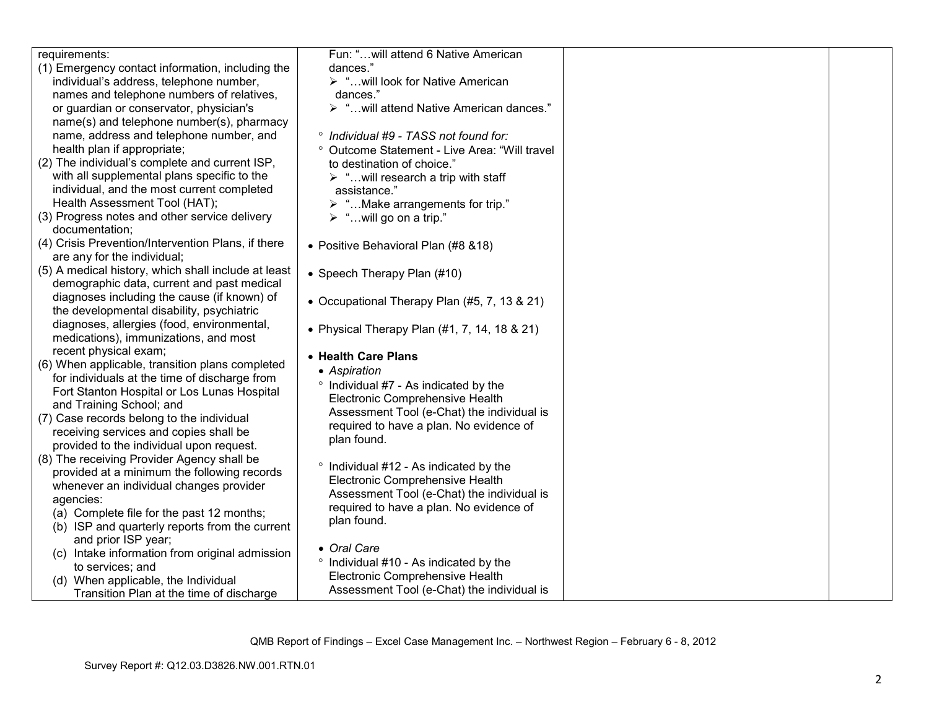| requirements:                                       | Fun: " will attend 6 Native American                     |  |
|-----------------------------------------------------|----------------------------------------------------------|--|
| (1) Emergency contact information, including the    | dances."                                                 |  |
| individual's address, telephone number,             | > "will look for Native American                         |  |
| names and telephone numbers of relatives,           | dances."                                                 |  |
| or guardian or conservator, physician's             | > " will attend Native American dances."                 |  |
| name(s) and telephone number(s), pharmacy           |                                                          |  |
| name, address and telephone number, and             | ° Individual #9 - TASS not found for:                    |  |
| health plan if appropriate;                         | <sup>o</sup> Outcome Statement - Live Area: "Will travel |  |
| (2) The individual's complete and current ISP,      | to destination of choice."                               |  |
| with all supplemental plans specific to the         | $\triangleright$ "will research a trip with staff        |  |
| individual, and the most current completed          | assistance."                                             |  |
| Health Assessment Tool (HAT);                       | $\triangleright$ " Make arrangements for trip."          |  |
| (3) Progress notes and other service delivery       | $\triangleright$ "will go on a trip."                    |  |
| documentation;                                      |                                                          |  |
| (4) Crisis Prevention/Intervention Plans, if there  | • Positive Behavioral Plan (#8 &18)                      |  |
| are any for the individual;                         |                                                          |  |
| (5) A medical history, which shall include at least | • Speech Therapy Plan (#10)                              |  |
| demographic data, current and past medical          |                                                          |  |
| diagnoses including the cause (if known) of         | • Occupational Therapy Plan (#5, 7, 13 & 21)             |  |
| the developmental disability, psychiatric           |                                                          |  |
| diagnoses, allergies (food, environmental,          | • Physical Therapy Plan $(#1, 7, 14, 18 \& 21)$          |  |
| medications), immunizations, and most               |                                                          |  |
| recent physical exam;                               | • Health Care Plans                                      |  |
| (6) When applicable, transition plans completed     | • Aspiration                                             |  |
| for individuals at the time of discharge from       | ° Individual #7 - As indicated by the                    |  |
| Fort Stanton Hospital or Los Lunas Hospital         | Electronic Comprehensive Health                          |  |
| and Training School; and                            | Assessment Tool (e-Chat) the individual is               |  |
| (7) Case records belong to the individual           | required to have a plan. No evidence of                  |  |
| receiving services and copies shall be              | plan found.                                              |  |
| provided to the individual upon request.            |                                                          |  |
| (8) The receiving Provider Agency shall be          | ° Individual #12 - As indicated by the                   |  |
| provided at a minimum the following records         | Electronic Comprehensive Health                          |  |
| whenever an individual changes provider             | Assessment Tool (e-Chat) the individual is               |  |
| agencies:                                           | required to have a plan. No evidence of                  |  |
| (a) Complete file for the past 12 months;           | plan found.                                              |  |
| (b) ISP and quarterly reports from the current      |                                                          |  |
| and prior ISP year;                                 | • Oral Care                                              |  |
| (c) Intake information from original admission      | ° Individual #10 - As indicated by the                   |  |
| to services; and                                    | Electronic Comprehensive Health                          |  |
| (d) When applicable, the Individual                 | Assessment Tool (e-Chat) the individual is               |  |
| Transition Plan at the time of discharge            |                                                          |  |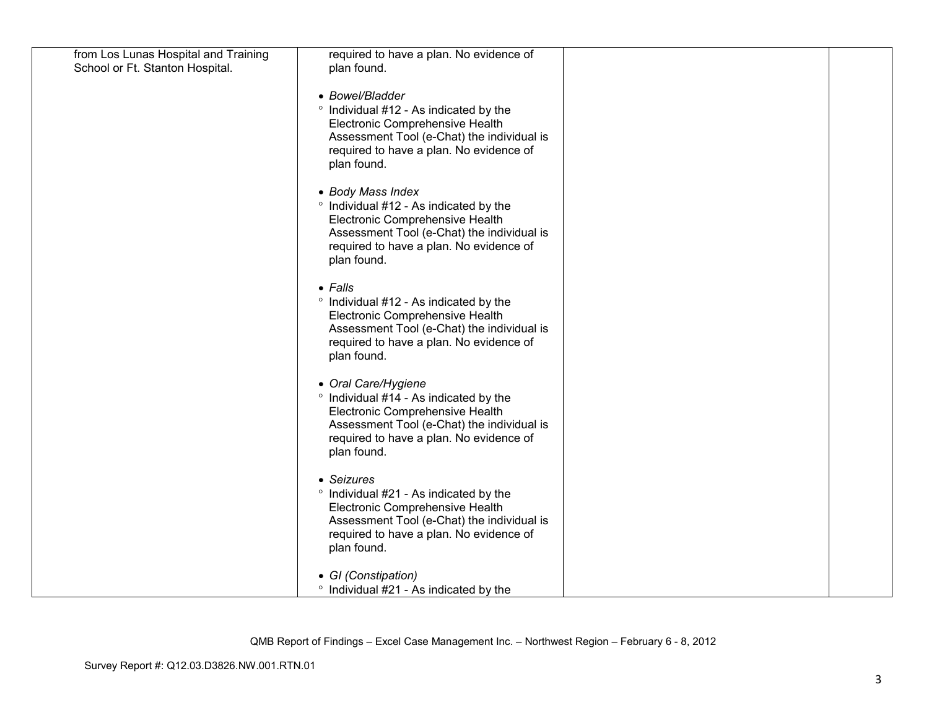| from Los Lunas Hospital and Training<br>School or Ft. Stanton Hospital. | required to have a plan. No evidence of<br>plan found.                                                                                                                                                   |  |
|-------------------------------------------------------------------------|----------------------------------------------------------------------------------------------------------------------------------------------------------------------------------------------------------|--|
|                                                                         | • Bowel/Bladder<br>° Individual #12 - As indicated by the<br>Electronic Comprehensive Health<br>Assessment Tool (e-Chat) the individual is<br>required to have a plan. No evidence of<br>plan found.     |  |
|                                                                         | • Body Mass Index<br>° Individual #12 - As indicated by the<br>Electronic Comprehensive Health<br>Assessment Tool (e-Chat) the individual is<br>required to have a plan. No evidence of<br>plan found.   |  |
|                                                                         | $\bullet$ Falls<br>° Individual #12 - As indicated by the<br>Electronic Comprehensive Health<br>Assessment Tool (e-Chat) the individual is<br>required to have a plan. No evidence of<br>plan found.     |  |
|                                                                         | • Oral Care/Hygiene<br>° Individual #14 - As indicated by the<br>Electronic Comprehensive Health<br>Assessment Tool (e-Chat) the individual is<br>required to have a plan. No evidence of<br>plan found. |  |
|                                                                         | • Seizures<br>° Individual #21 - As indicated by the<br>Electronic Comprehensive Health<br>Assessment Tool (e-Chat) the individual is<br>required to have a plan. No evidence of<br>plan found.          |  |
|                                                                         | • GI (Constipation)<br>• Individual #21 - As indicated by the                                                                                                                                            |  |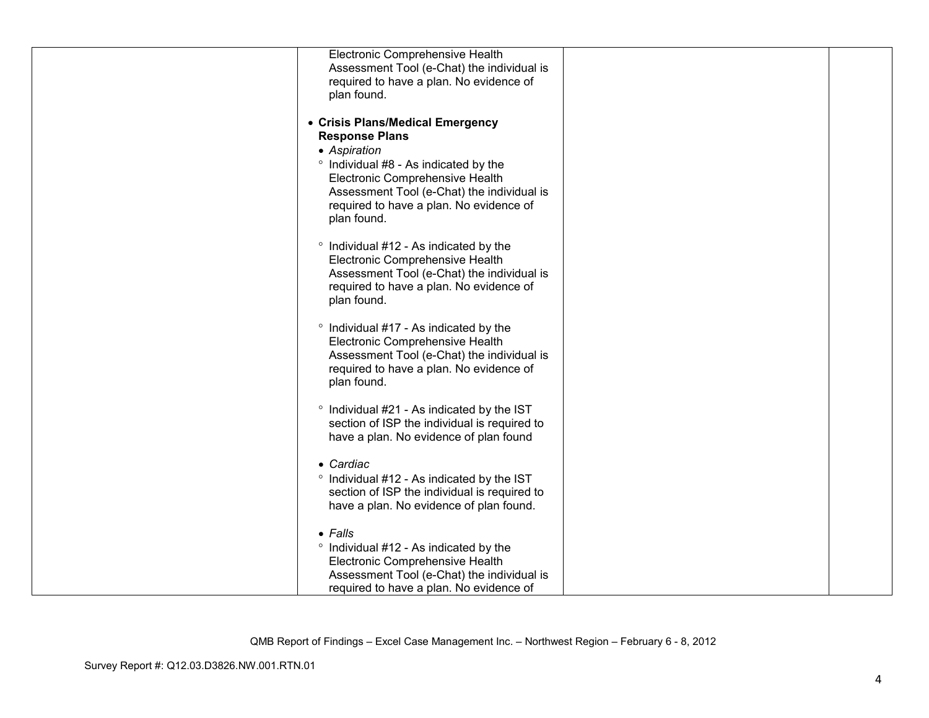| Electronic Comprehensive Health                                           |  |
|---------------------------------------------------------------------------|--|
| Assessment Tool (e-Chat) the individual is                                |  |
| required to have a plan. No evidence of<br>plan found.                    |  |
|                                                                           |  |
| • Crisis Plans/Medical Emergency                                          |  |
| <b>Response Plans</b>                                                     |  |
| • Aspiration                                                              |  |
| ° Individual #8 - As indicated by the<br>Electronic Comprehensive Health  |  |
| Assessment Tool (e-Chat) the individual is                                |  |
| required to have a plan. No evidence of                                   |  |
| plan found.                                                               |  |
|                                                                           |  |
| ° Individual #12 - As indicated by the<br>Electronic Comprehensive Health |  |
| Assessment Tool (e-Chat) the individual is                                |  |
| required to have a plan. No evidence of                                   |  |
| plan found.                                                               |  |
| ° Individual #17 - As indicated by the                                    |  |
| Electronic Comprehensive Health                                           |  |
| Assessment Tool (e-Chat) the individual is                                |  |
| required to have a plan. No evidence of                                   |  |
| plan found.                                                               |  |
| ° Individual #21 - As indicated by the IST                                |  |
| section of ISP the individual is required to                              |  |
| have a plan. No evidence of plan found                                    |  |
| • Cardiac                                                                 |  |
| ° Individual #12 - As indicated by the IST                                |  |
| section of ISP the individual is required to                              |  |
| have a plan. No evidence of plan found.                                   |  |
| $\bullet$ Falls                                                           |  |
| ° Individual #12 - As indicated by the                                    |  |
| Electronic Comprehensive Health                                           |  |
| Assessment Tool (e-Chat) the individual is                                |  |
| required to have a plan. No evidence of                                   |  |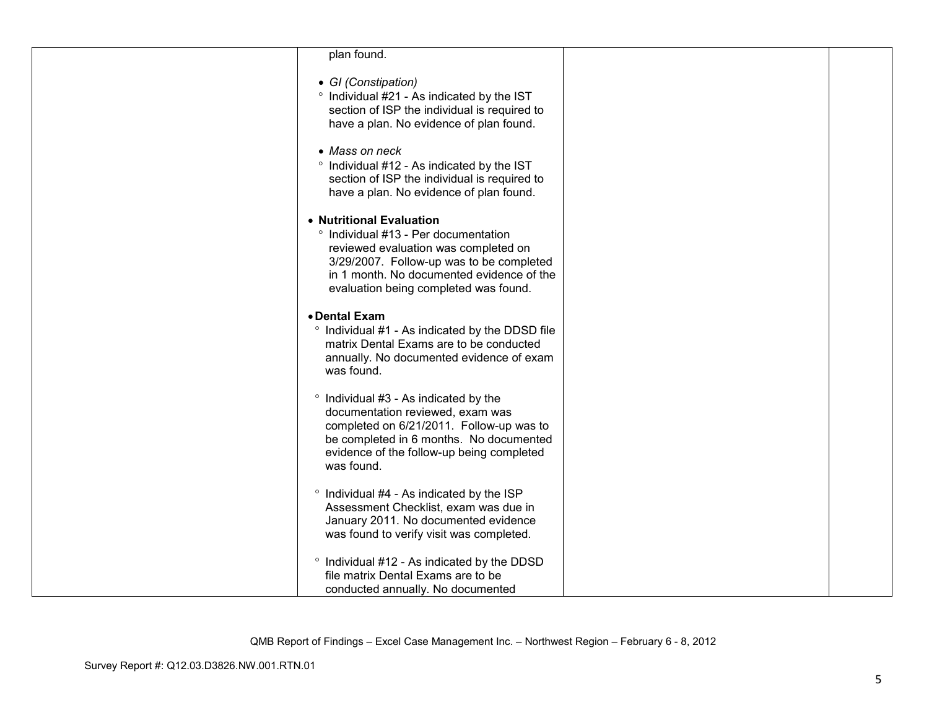| plan found.                                                                                                                                                                                                                                |  |
|--------------------------------------------------------------------------------------------------------------------------------------------------------------------------------------------------------------------------------------------|--|
| • GI (Constipation)<br>° Individual #21 - As indicated by the IST<br>section of ISP the individual is required to<br>have a plan. No evidence of plan found.                                                                               |  |
| • Mass on neck<br>° Individual #12 - As indicated by the IST<br>section of ISP the individual is required to<br>have a plan. No evidence of plan found.                                                                                    |  |
| • Nutritional Evaluation<br>° Individual #13 - Per documentation<br>reviewed evaluation was completed on<br>3/29/2007. Follow-up was to be completed<br>in 1 month. No documented evidence of the<br>evaluation being completed was found. |  |
| • Dental Exam<br>° Individual #1 - As indicated by the DDSD file<br>matrix Dental Exams are to be conducted<br>annually. No documented evidence of exam<br>was found.                                                                      |  |
| ° Individual #3 - As indicated by the<br>documentation reviewed, exam was<br>completed on 6/21/2011. Follow-up was to<br>be completed in 6 months. No documented<br>evidence of the follow-up being completed<br>was found.                |  |
| <sup>o</sup> Individual #4 - As indicated by the ISP<br>Assessment Checklist, exam was due in<br>January 2011. No documented evidence<br>was found to verify visit was completed.                                                          |  |
| ° Individual #12 - As indicated by the DDSD<br>file matrix Dental Exams are to be<br>conducted annually. No documented                                                                                                                     |  |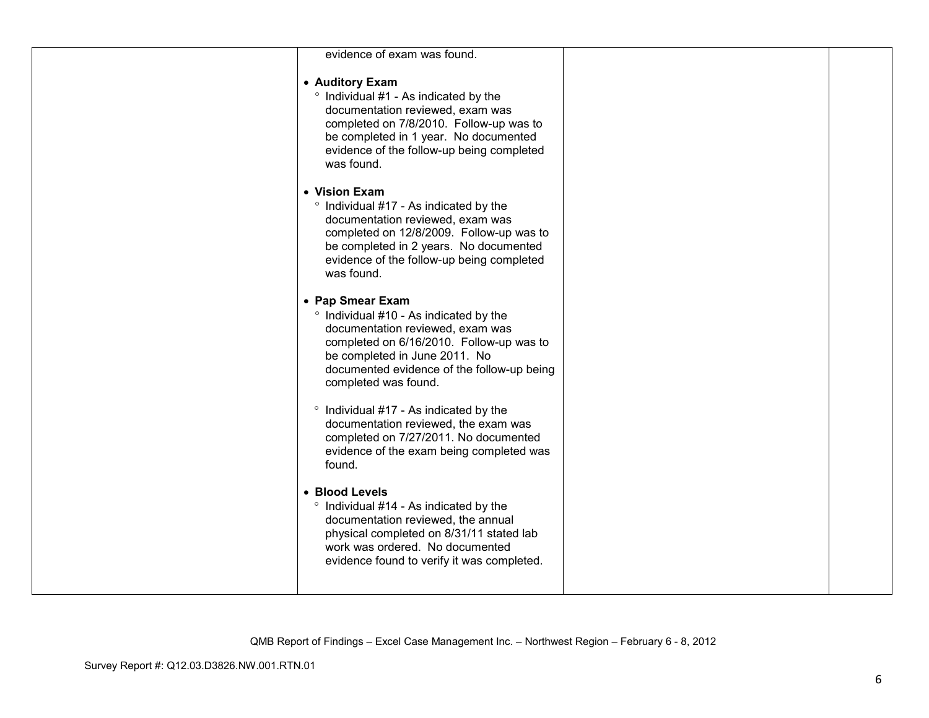| evidence of exam was found.                                                                                                                                                                                                                       |  |
|---------------------------------------------------------------------------------------------------------------------------------------------------------------------------------------------------------------------------------------------------|--|
| • Auditory Exam<br>° Individual #1 - As indicated by the<br>documentation reviewed, exam was<br>completed on 7/8/2010. Follow-up was to<br>be completed in 1 year. No documented<br>evidence of the follow-up being completed<br>was found.       |  |
| • Vision Exam<br>° Individual #17 - As indicated by the<br>documentation reviewed, exam was<br>completed on 12/8/2009. Follow-up was to<br>be completed in 2 years. No documented<br>evidence of the follow-up being completed<br>was found.      |  |
| • Pap Smear Exam<br>° Individual #10 - As indicated by the<br>documentation reviewed, exam was<br>completed on 6/16/2010. Follow-up was to<br>be completed in June 2011. No<br>documented evidence of the follow-up being<br>completed was found. |  |
| ° Individual #17 - As indicated by the<br>documentation reviewed, the exam was<br>completed on 7/27/2011. No documented<br>evidence of the exam being completed was<br>found.                                                                     |  |
| • Blood Levels<br>° Individual #14 - As indicated by the<br>documentation reviewed, the annual<br>physical completed on 8/31/11 stated lab<br>work was ordered. No documented<br>evidence found to verify it was completed.                       |  |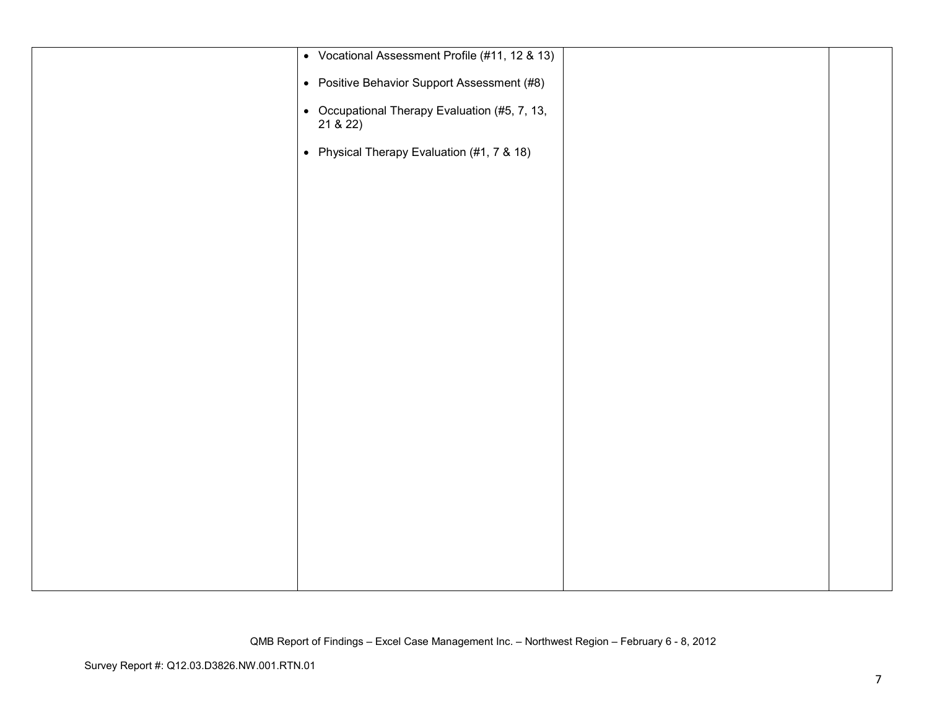| • Vocational Assessment Profile (#11, 12 & 13)         |  |
|--------------------------------------------------------|--|
| • Positive Behavior Support Assessment (#8)            |  |
| • Occupational Therapy Evaluation (#5, 7, 13, 21 & 22) |  |
| • Physical Therapy Evaluation (#1, 7 & 18)             |  |
|                                                        |  |
|                                                        |  |
|                                                        |  |
|                                                        |  |
|                                                        |  |
|                                                        |  |
|                                                        |  |
|                                                        |  |
|                                                        |  |
|                                                        |  |
|                                                        |  |
|                                                        |  |
|                                                        |  |
|                                                        |  |
|                                                        |  |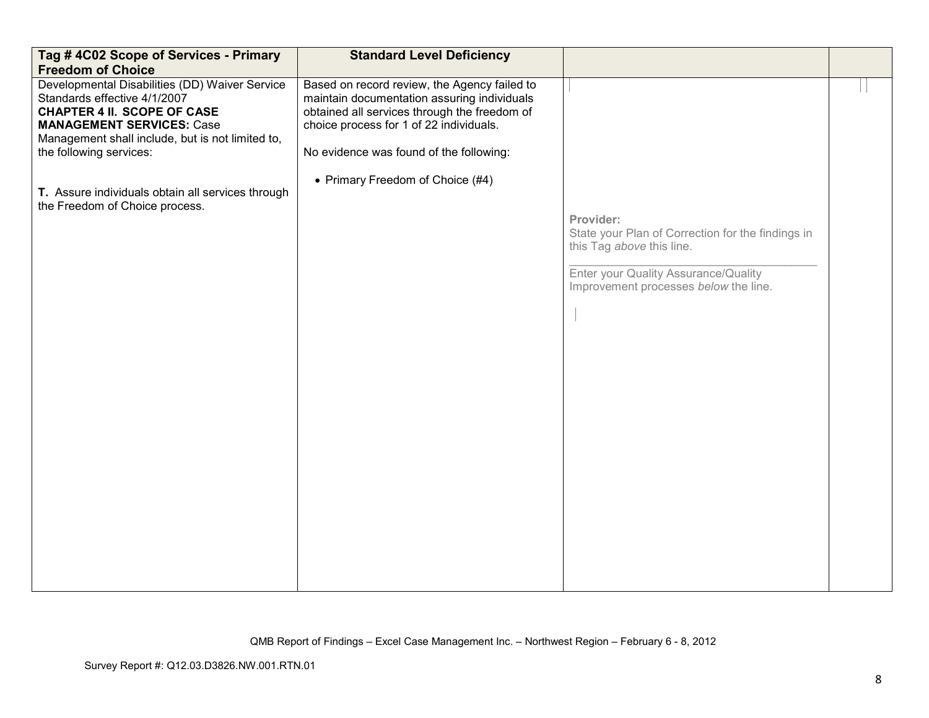| Tag #4C02 Scope of Services - Primary<br><b>Freedom of Choice</b>                                                                                                                                                                       | <b>Standard Level Deficiency</b>                                                                                                                                                                                                  |                                                                                                                                                                              |  |
|-----------------------------------------------------------------------------------------------------------------------------------------------------------------------------------------------------------------------------------------|-----------------------------------------------------------------------------------------------------------------------------------------------------------------------------------------------------------------------------------|------------------------------------------------------------------------------------------------------------------------------------------------------------------------------|--|
| Developmental Disabilities (DD) Waiver Service<br>Standards effective 4/1/2007<br><b>CHAPTER 4 II. SCOPE OF CASE</b><br><b>MANAGEMENT SERVICES: Case</b><br>Management shall include, but is not limited to,<br>the following services: | Based on record review, the Agency failed to<br>maintain documentation assuring individuals<br>obtained all services through the freedom of<br>choice process for 1 of 22 individuals.<br>No evidence was found of the following: |                                                                                                                                                                              |  |
| T. Assure individuals obtain all services through<br>the Freedom of Choice process.                                                                                                                                                     | • Primary Freedom of Choice (#4)                                                                                                                                                                                                  | Provider:<br>State your Plan of Correction for the findings in<br>this Tag above this line.<br>Enter your Quality Assurance/Quality<br>Improvement processes below the line. |  |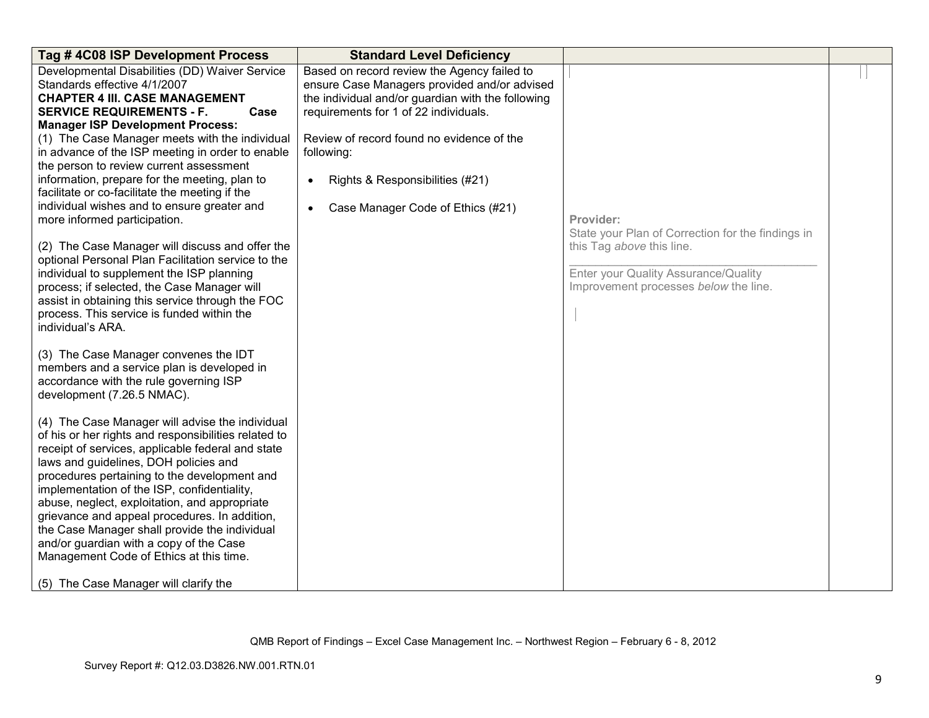| Tag #4C08 ISP Development Process                                                                                                                                                                                                                                                                                                                                                                                                                                                                                                                                                      | <b>Standard Level Deficiency</b>                                                                                                                                                          |                                                                                                            |  |
|----------------------------------------------------------------------------------------------------------------------------------------------------------------------------------------------------------------------------------------------------------------------------------------------------------------------------------------------------------------------------------------------------------------------------------------------------------------------------------------------------------------------------------------------------------------------------------------|-------------------------------------------------------------------------------------------------------------------------------------------------------------------------------------------|------------------------------------------------------------------------------------------------------------|--|
| Developmental Disabilities (DD) Waiver Service<br>Standards effective 4/1/2007<br><b>CHAPTER 4 III. CASE MANAGEMENT</b><br><b>SERVICE REQUIREMENTS - F.</b><br>Case                                                                                                                                                                                                                                                                                                                                                                                                                    | Based on record review the Agency failed to<br>ensure Case Managers provided and/or advised<br>the individual and/or guardian with the following<br>requirements for 1 of 22 individuals. |                                                                                                            |  |
| <b>Manager ISP Development Process:</b><br>(1) The Case Manager meets with the individual<br>in advance of the ISP meeting in order to enable<br>the person to review current assessment                                                                                                                                                                                                                                                                                                                                                                                               | Review of record found no evidence of the<br>following:                                                                                                                                   |                                                                                                            |  |
| information, prepare for the meeting, plan to<br>facilitate or co-facilitate the meeting if the                                                                                                                                                                                                                                                                                                                                                                                                                                                                                        | Rights & Responsibilities (#21)<br>$\bullet$                                                                                                                                              |                                                                                                            |  |
| individual wishes and to ensure greater and<br>more informed participation.                                                                                                                                                                                                                                                                                                                                                                                                                                                                                                            | Case Manager Code of Ethics (#21)<br>$\bullet$                                                                                                                                            | Provider:<br>State your Plan of Correction for the findings in                                             |  |
| (2) The Case Manager will discuss and offer the<br>optional Personal Plan Facilitation service to the<br>individual to supplement the ISP planning<br>process; if selected, the Case Manager will<br>assist in obtaining this service through the FOC<br>process. This service is funded within the<br>individual's ARA.                                                                                                                                                                                                                                                               |                                                                                                                                                                                           | this Tag above this line.<br>Enter your Quality Assurance/Quality<br>Improvement processes below the line. |  |
| (3) The Case Manager convenes the IDT<br>members and a service plan is developed in<br>accordance with the rule governing ISP<br>development (7.26.5 NMAC).                                                                                                                                                                                                                                                                                                                                                                                                                            |                                                                                                                                                                                           |                                                                                                            |  |
| (4) The Case Manager will advise the individual<br>of his or her rights and responsibilities related to<br>receipt of services, applicable federal and state<br>laws and guidelines, DOH policies and<br>procedures pertaining to the development and<br>implementation of the ISP, confidentiality,<br>abuse, neglect, exploitation, and appropriate<br>grievance and appeal procedures. In addition,<br>the Case Manager shall provide the individual<br>and/or guardian with a copy of the Case<br>Management Code of Ethics at this time.<br>(5) The Case Manager will clarify the |                                                                                                                                                                                           |                                                                                                            |  |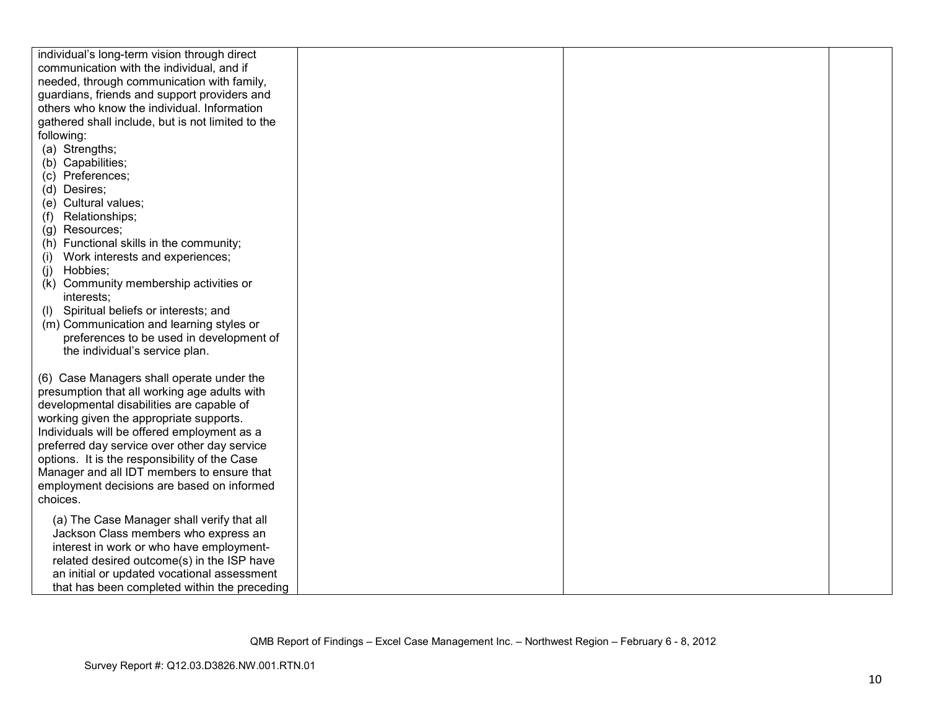| individual's long-term vision through direct      |  |  |
|---------------------------------------------------|--|--|
| communication with the individual, and if         |  |  |
| needed, through communication with family,        |  |  |
| guardians, friends and support providers and      |  |  |
| others who know the individual. Information       |  |  |
| gathered shall include, but is not limited to the |  |  |
| following:                                        |  |  |
| (a) Strengths;                                    |  |  |
| (b) Capabilities;                                 |  |  |
| (c) Preferences;                                  |  |  |
| (d) Desires;                                      |  |  |
| (e) Cultural values;                              |  |  |
| Relationships;<br>(f)                             |  |  |
| (g) Resources;                                    |  |  |
| (h) Functional skills in the community;           |  |  |
| Work interests and experiences;<br>(i)            |  |  |
| Hobbies;<br>(i)                                   |  |  |
| Community membership activities or<br>(k)         |  |  |
| interests:                                        |  |  |
| Spiritual beliefs or interests; and<br>(1)        |  |  |
| (m) Communication and learning styles or          |  |  |
| preferences to be used in development of          |  |  |
| the individual's service plan.                    |  |  |
|                                                   |  |  |
| (6) Case Managers shall operate under the         |  |  |
| presumption that all working age adults with      |  |  |
| developmental disabilities are capable of         |  |  |
| working given the appropriate supports.           |  |  |
| Individuals will be offered employment as a       |  |  |
| preferred day service over other day service      |  |  |
| options. It is the responsibility of the Case     |  |  |
| Manager and all IDT members to ensure that        |  |  |
| employment decisions are based on informed        |  |  |
| choices.                                          |  |  |
| (a) The Case Manager shall verify that all        |  |  |
| Jackson Class members who express an              |  |  |
| interest in work or who have employment-          |  |  |
| related desired outcome(s) in the ISP have        |  |  |
| an initial or updated vocational assessment       |  |  |
| that has been completed within the preceding      |  |  |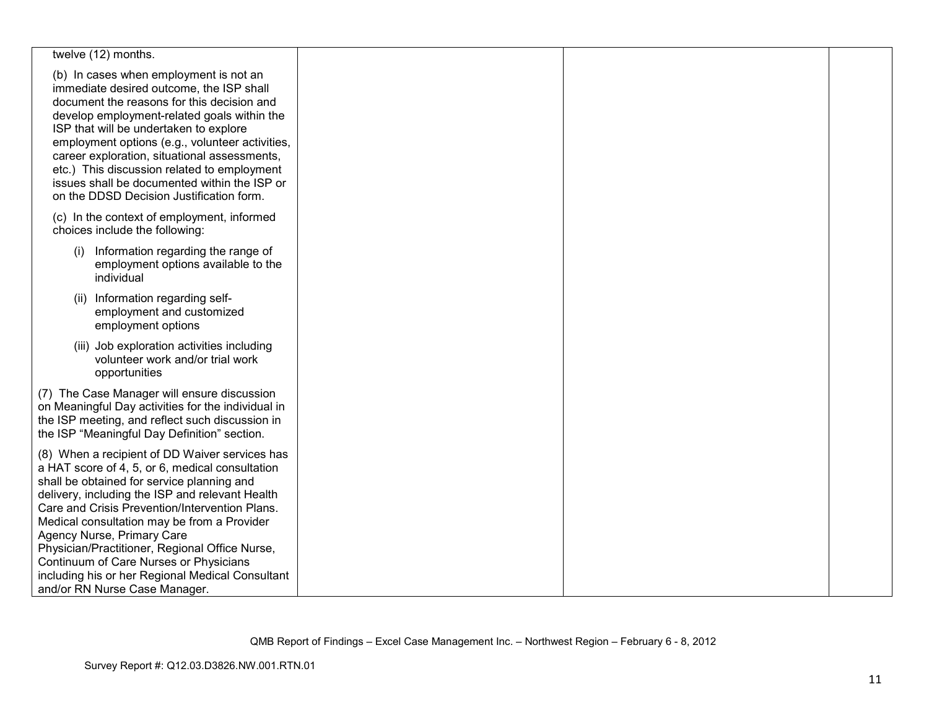| twelve (12) months.                                                                                                                                                                                                                                                                                                                                                                                                                                                                                                |  |  |
|--------------------------------------------------------------------------------------------------------------------------------------------------------------------------------------------------------------------------------------------------------------------------------------------------------------------------------------------------------------------------------------------------------------------------------------------------------------------------------------------------------------------|--|--|
| (b) In cases when employment is not an<br>immediate desired outcome, the ISP shall<br>document the reasons for this decision and<br>develop employment-related goals within the<br>ISP that will be undertaken to explore<br>employment options (e.g., volunteer activities,<br>career exploration, situational assessments,<br>etc.) This discussion related to employment<br>issues shall be documented within the ISP or<br>on the DDSD Decision Justification form.                                            |  |  |
| (c) In the context of employment, informed<br>choices include the following:                                                                                                                                                                                                                                                                                                                                                                                                                                       |  |  |
| Information regarding the range of<br>(i)<br>employment options available to the<br>individual                                                                                                                                                                                                                                                                                                                                                                                                                     |  |  |
| (ii) Information regarding self-<br>employment and customized<br>employment options                                                                                                                                                                                                                                                                                                                                                                                                                                |  |  |
| (iii) Job exploration activities including<br>volunteer work and/or trial work<br>opportunities                                                                                                                                                                                                                                                                                                                                                                                                                    |  |  |
| (7) The Case Manager will ensure discussion<br>on Meaningful Day activities for the individual in<br>the ISP meeting, and reflect such discussion in<br>the ISP "Meaningful Day Definition" section.                                                                                                                                                                                                                                                                                                               |  |  |
| (8) When a recipient of DD Waiver services has<br>a HAT score of 4, 5, or 6, medical consultation<br>shall be obtained for service planning and<br>delivery, including the ISP and relevant Health<br>Care and Crisis Prevention/Intervention Plans.<br>Medical consultation may be from a Provider<br>Agency Nurse, Primary Care<br>Physician/Practitioner, Regional Office Nurse,<br>Continuum of Care Nurses or Physicians<br>including his or her Regional Medical Consultant<br>and/or RN Nurse Case Manager. |  |  |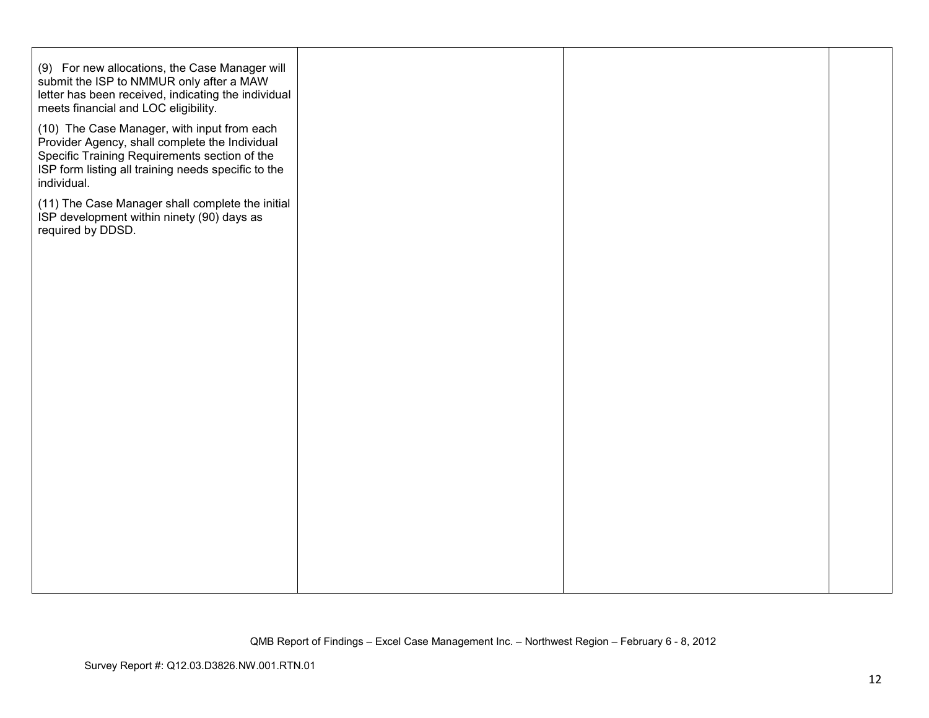| (10) The Case Manager, with input from each<br>Provider Agency, shall complete the Individual<br>Specific Training Requirements section of the<br>ISP form listing all training needs specific to the<br>individual.<br>(11) The Case Manager shall complete the initial<br>ISP development within ninety (90) days as |  |
|------------------------------------------------------------------------------------------------------------------------------------------------------------------------------------------------------------------------------------------------------------------------------------------------------------------------|--|
|                                                                                                                                                                                                                                                                                                                        |  |
| required by DDSD.                                                                                                                                                                                                                                                                                                      |  |
|                                                                                                                                                                                                                                                                                                                        |  |
|                                                                                                                                                                                                                                                                                                                        |  |
|                                                                                                                                                                                                                                                                                                                        |  |
|                                                                                                                                                                                                                                                                                                                        |  |
|                                                                                                                                                                                                                                                                                                                        |  |
|                                                                                                                                                                                                                                                                                                                        |  |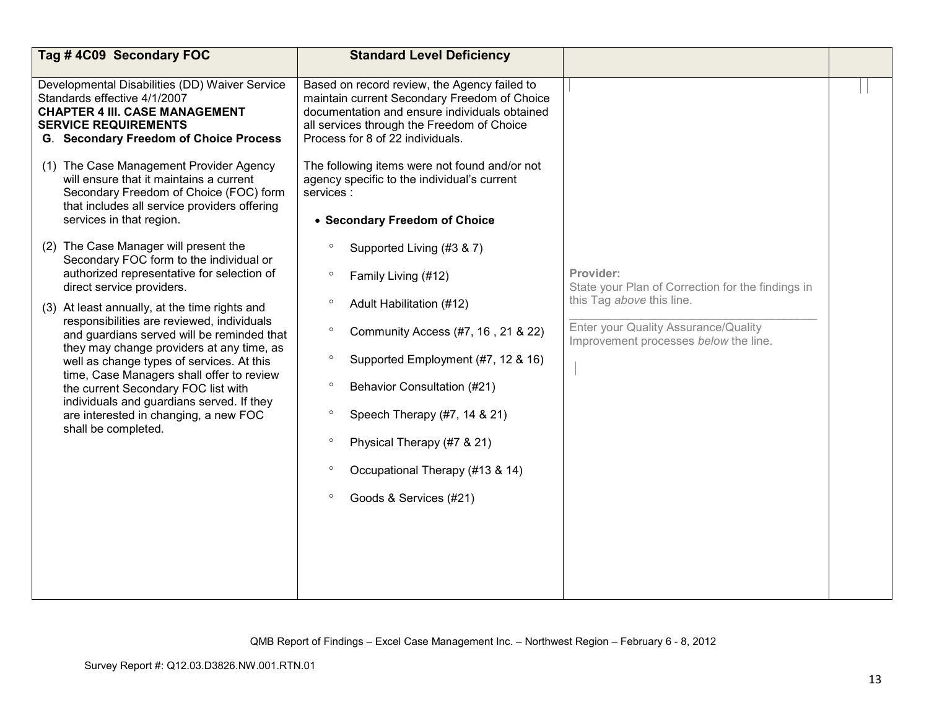| Tag #4C09 Secondary FOC                                                                                                                                                                          | <b>Standard Level Deficiency</b>                                                                                                                                                                                                |                                                                               |  |
|--------------------------------------------------------------------------------------------------------------------------------------------------------------------------------------------------|---------------------------------------------------------------------------------------------------------------------------------------------------------------------------------------------------------------------------------|-------------------------------------------------------------------------------|--|
| Developmental Disabilities (DD) Waiver Service<br>Standards effective 4/1/2007<br><b>CHAPTER 4 III. CASE MANAGEMENT</b><br><b>SERVICE REQUIREMENTS</b><br>G. Secondary Freedom of Choice Process | Based on record review, the Agency failed to<br>maintain current Secondary Freedom of Choice<br>documentation and ensure individuals obtained<br>all services through the Freedom of Choice<br>Process for 8 of 22 individuals. |                                                                               |  |
| (1) The Case Management Provider Agency<br>will ensure that it maintains a current<br>Secondary Freedom of Choice (FOC) form<br>that includes all service providers offering                     | The following items were not found and/or not<br>agency specific to the individual's current<br>services :                                                                                                                      |                                                                               |  |
| services in that region.                                                                                                                                                                         | • Secondary Freedom of Choice                                                                                                                                                                                                   |                                                                               |  |
| (2) The Case Manager will present the<br>Secondary FOC form to the individual or                                                                                                                 | Supported Living (#3 & 7)<br>$\circ$                                                                                                                                                                                            |                                                                               |  |
| authorized representative for selection of<br>direct service providers.                                                                                                                          | $\circ$<br>Family Living (#12)                                                                                                                                                                                                  | Provider:<br>State your Plan of Correction for the findings in                |  |
| (3) At least annually, at the time rights and                                                                                                                                                    | $\circ$<br>Adult Habilitation (#12)                                                                                                                                                                                             | this Tag above this line.                                                     |  |
| responsibilities are reviewed, individuals<br>and guardians served will be reminded that                                                                                                         | $\circ$<br>Community Access (#7, 16, 21 & 22)                                                                                                                                                                                   | Enter your Quality Assurance/Quality<br>Improvement processes below the line. |  |
| they may change providers at any time, as<br>well as change types of services. At this                                                                                                           | $\circ$<br>Supported Employment (#7, 12 & 16)                                                                                                                                                                                   |                                                                               |  |
| time, Case Managers shall offer to review<br>the current Secondary FOC list with<br>individuals and guardians served. If they                                                                    | $\circ$<br>Behavior Consultation (#21)                                                                                                                                                                                          |                                                                               |  |
| are interested in changing, a new FOC<br>shall be completed.                                                                                                                                     | Speech Therapy (#7, 14 & 21)<br>$\circ$                                                                                                                                                                                         |                                                                               |  |
|                                                                                                                                                                                                  | Physical Therapy (#7 & 21)<br>o                                                                                                                                                                                                 |                                                                               |  |
|                                                                                                                                                                                                  | Occupational Therapy (#13 & 14)                                                                                                                                                                                                 |                                                                               |  |
|                                                                                                                                                                                                  | $\circ$<br>Goods & Services (#21)                                                                                                                                                                                               |                                                                               |  |
|                                                                                                                                                                                                  |                                                                                                                                                                                                                                 |                                                                               |  |
|                                                                                                                                                                                                  |                                                                                                                                                                                                                                 |                                                                               |  |
|                                                                                                                                                                                                  |                                                                                                                                                                                                                                 |                                                                               |  |
|                                                                                                                                                                                                  |                                                                                                                                                                                                                                 |                                                                               |  |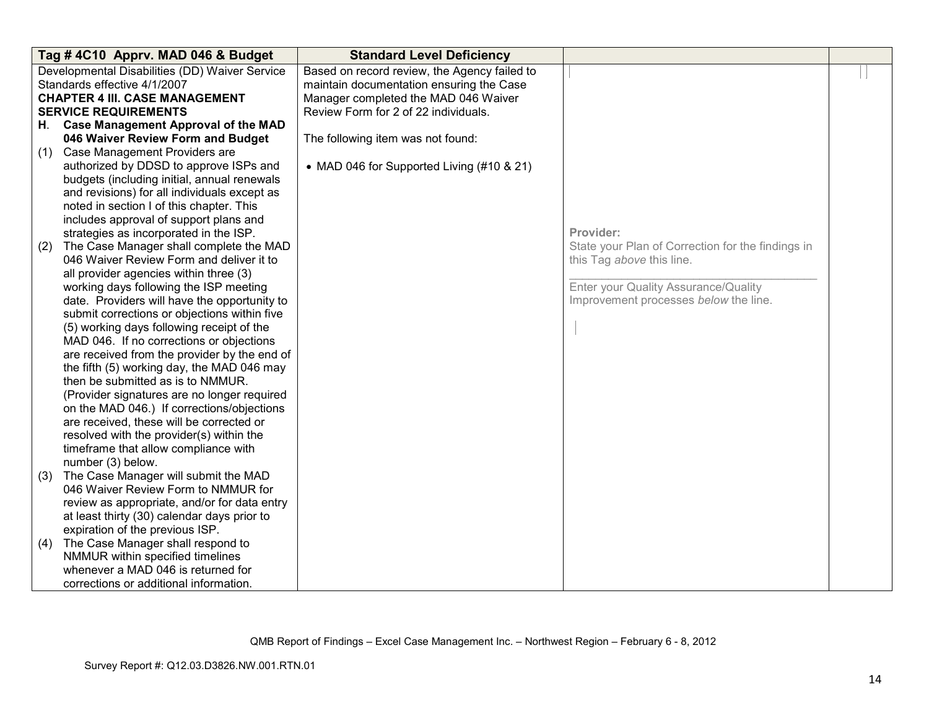|     | Tag #4C10 Apprv. MAD 046 & Budget              | <b>Standard Level Deficiency</b>             |                                                   |  |
|-----|------------------------------------------------|----------------------------------------------|---------------------------------------------------|--|
|     | Developmental Disabilities (DD) Waiver Service | Based on record review, the Agency failed to |                                                   |  |
|     | Standards effective 4/1/2007                   | maintain documentation ensuring the Case     |                                                   |  |
|     | <b>CHAPTER 4 III. CASE MANAGEMENT</b>          | Manager completed the MAD 046 Waiver         |                                                   |  |
|     | <b>SERVICE REQUIREMENTS</b>                    | Review Form for 2 of 22 individuals.         |                                                   |  |
|     | H. Case Management Approval of the MAD         |                                              |                                                   |  |
|     | 046 Waiver Review Form and Budget              | The following item was not found:            |                                                   |  |
| (1) | Case Management Providers are                  |                                              |                                                   |  |
|     | authorized by DDSD to approve ISPs and         | • MAD 046 for Supported Living (#10 & 21)    |                                                   |  |
|     | budgets (including initial, annual renewals    |                                              |                                                   |  |
|     | and revisions) for all individuals except as   |                                              |                                                   |  |
|     | noted in section I of this chapter. This       |                                              |                                                   |  |
|     | includes approval of support plans and         |                                              |                                                   |  |
|     | strategies as incorporated in the ISP.         |                                              | Provider:                                         |  |
| (2) | The Case Manager shall complete the MAD        |                                              | State your Plan of Correction for the findings in |  |
|     | 046 Waiver Review Form and deliver it to       |                                              | this Tag above this line.                         |  |
|     | all provider agencies within three (3)         |                                              |                                                   |  |
|     | working days following the ISP meeting         |                                              | Enter your Quality Assurance/Quality              |  |
|     | date. Providers will have the opportunity to   |                                              | Improvement processes below the line.             |  |
|     | submit corrections or objections within five   |                                              |                                                   |  |
|     | (5) working days following receipt of the      |                                              |                                                   |  |
|     | MAD 046. If no corrections or objections       |                                              |                                                   |  |
|     | are received from the provider by the end of   |                                              |                                                   |  |
|     | the fifth (5) working day, the MAD 046 may     |                                              |                                                   |  |
|     | then be submitted as is to NMMUR.              |                                              |                                                   |  |
|     | (Provider signatures are no longer required    |                                              |                                                   |  |
|     | on the MAD 046.) If corrections/objections     |                                              |                                                   |  |
|     | are received, these will be corrected or       |                                              |                                                   |  |
|     | resolved with the provider(s) within the       |                                              |                                                   |  |
|     | timeframe that allow compliance with           |                                              |                                                   |  |
|     | number (3) below.                              |                                              |                                                   |  |
| (3) | The Case Manager will submit the MAD           |                                              |                                                   |  |
|     | 046 Waiver Review Form to NMMUR for            |                                              |                                                   |  |
|     | review as appropriate, and/or for data entry   |                                              |                                                   |  |
|     | at least thirty (30) calendar days prior to    |                                              |                                                   |  |
|     | expiration of the previous ISP.                |                                              |                                                   |  |
| (4) | The Case Manager shall respond to              |                                              |                                                   |  |
|     | NMMUR within specified timelines               |                                              |                                                   |  |
|     | whenever a MAD 046 is returned for             |                                              |                                                   |  |
|     | corrections or additional information.         |                                              |                                                   |  |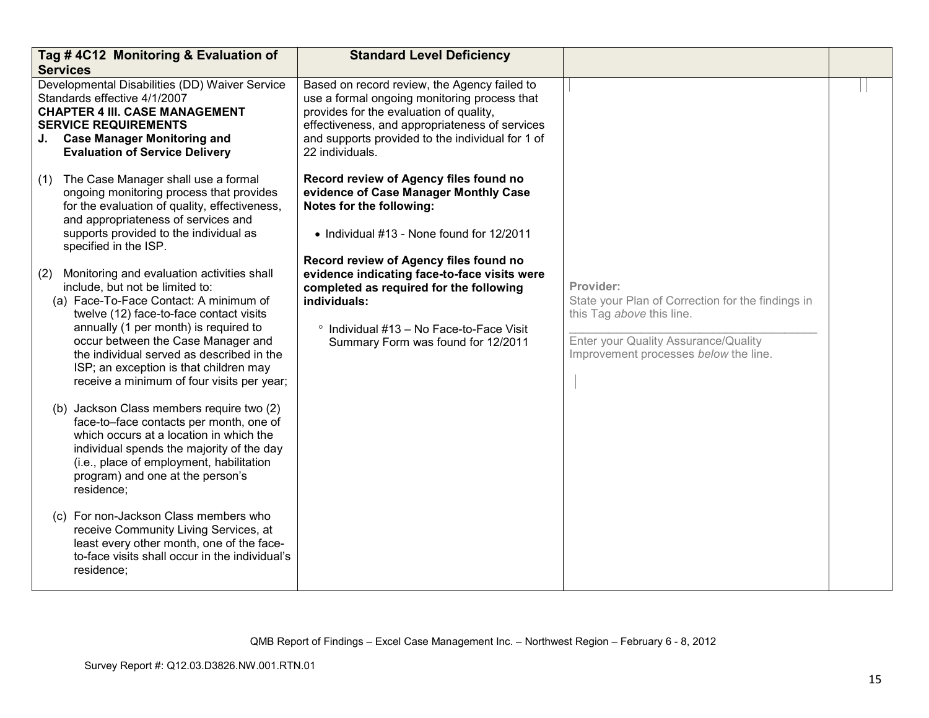| <b>Services</b> | Tag #4C12 Monitoring & Evaluation of                                                                                                                                                                                                                                                                                                                                                   | <b>Standard Level Deficiency</b>                                                                                                                                                                                                                                 |                                                                                                                                                                              |  |
|-----------------|----------------------------------------------------------------------------------------------------------------------------------------------------------------------------------------------------------------------------------------------------------------------------------------------------------------------------------------------------------------------------------------|------------------------------------------------------------------------------------------------------------------------------------------------------------------------------------------------------------------------------------------------------------------|------------------------------------------------------------------------------------------------------------------------------------------------------------------------------|--|
|                 | Developmental Disabilities (DD) Waiver Service<br>Standards effective 4/1/2007<br><b>CHAPTER 4 III. CASE MANAGEMENT</b><br><b>SERVICE REQUIREMENTS</b><br>J. Case Manager Monitoring and<br><b>Evaluation of Service Delivery</b>                                                                                                                                                      | Based on record review, the Agency failed to<br>use a formal ongoing monitoring process that<br>provides for the evaluation of quality,<br>effectiveness, and appropriateness of services<br>and supports provided to the individual for 1 of<br>22 individuals. |                                                                                                                                                                              |  |
| (1)             | The Case Manager shall use a formal<br>ongoing monitoring process that provides<br>for the evaluation of quality, effectiveness,<br>and appropriateness of services and<br>supports provided to the individual as<br>specified in the ISP.                                                                                                                                             | Record review of Agency files found no<br>evidence of Case Manager Monthly Case<br>Notes for the following:<br>• Individual #13 - None found for 12/2011<br>Record review of Agency files found no                                                               |                                                                                                                                                                              |  |
| (2)             | Monitoring and evaluation activities shall<br>include, but not be limited to:<br>(a) Face-To-Face Contact: A minimum of<br>twelve (12) face-to-face contact visits<br>annually (1 per month) is required to<br>occur between the Case Manager and<br>the individual served as described in the<br>ISP; an exception is that children may<br>receive a minimum of four visits per year; | evidence indicating face-to-face visits were<br>completed as required for the following<br>individuals:<br>° Individual #13 - No Face-to-Face Visit<br>Summary Form was found for 12/2011                                                                        | Provider:<br>State your Plan of Correction for the findings in<br>this Tag above this line.<br>Enter your Quality Assurance/Quality<br>Improvement processes below the line. |  |
|                 | (b) Jackson Class members require two (2)<br>face-to-face contacts per month, one of<br>which occurs at a location in which the<br>individual spends the majority of the day<br>(i.e., place of employment, habilitation<br>program) and one at the person's<br>residence;                                                                                                             |                                                                                                                                                                                                                                                                  |                                                                                                                                                                              |  |
|                 | (c) For non-Jackson Class members who<br>receive Community Living Services, at<br>least every other month, one of the face-<br>to-face visits shall occur in the individual's<br>residence;                                                                                                                                                                                            |                                                                                                                                                                                                                                                                  |                                                                                                                                                                              |  |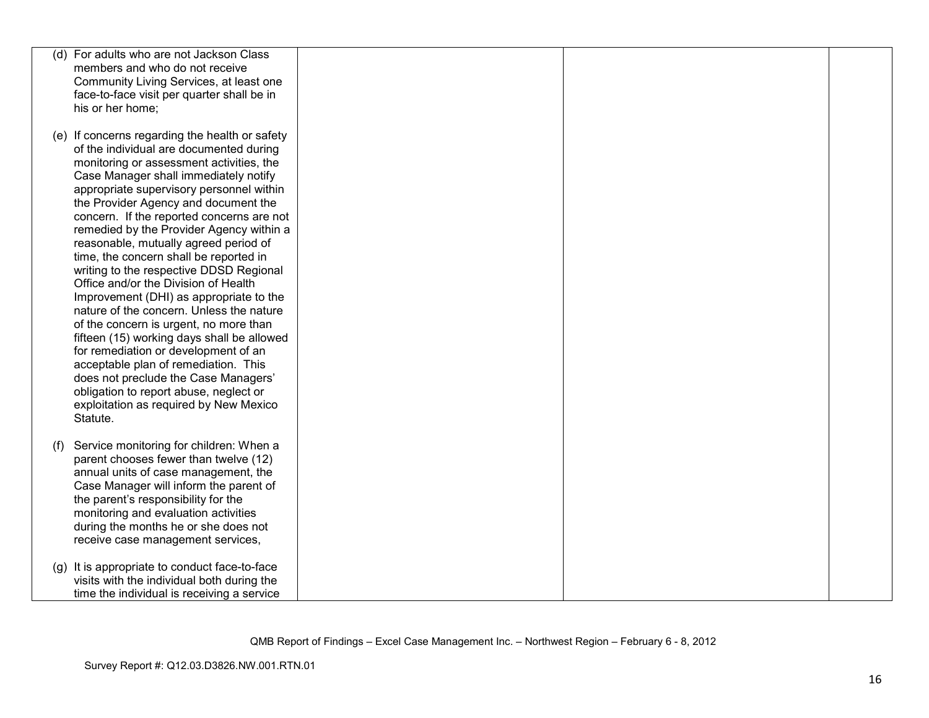|     | (d) For adults who are not Jackson Class       |  |  |
|-----|------------------------------------------------|--|--|
|     | members and who do not receive                 |  |  |
|     | Community Living Services, at least one        |  |  |
|     | face-to-face visit per quarter shall be in     |  |  |
|     | his or her home;                               |  |  |
|     |                                                |  |  |
|     | (e) If concerns regarding the health or safety |  |  |
|     | of the individual are documented during        |  |  |
|     |                                                |  |  |
|     | monitoring or assessment activities, the       |  |  |
|     | Case Manager shall immediately notify          |  |  |
|     | appropriate supervisory personnel within       |  |  |
|     | the Provider Agency and document the           |  |  |
|     | concern. If the reported concerns are not      |  |  |
|     | remedied by the Provider Agency within a       |  |  |
|     | reasonable, mutually agreed period of          |  |  |
|     | time, the concern shall be reported in         |  |  |
|     | writing to the respective DDSD Regional        |  |  |
|     | Office and/or the Division of Health           |  |  |
|     | Improvement (DHI) as appropriate to the        |  |  |
|     | nature of the concern. Unless the nature       |  |  |
|     | of the concern is urgent, no more than         |  |  |
|     | fifteen (15) working days shall be allowed     |  |  |
|     | for remediation or development of an           |  |  |
|     | acceptable plan of remediation. This           |  |  |
|     | does not preclude the Case Managers'           |  |  |
|     | obligation to report abuse, neglect or         |  |  |
|     | exploitation as required by New Mexico         |  |  |
|     | Statute.                                       |  |  |
|     |                                                |  |  |
| (f) | Service monitoring for children: When a        |  |  |
|     | parent chooses fewer than twelve (12)          |  |  |
|     | annual units of case management, the           |  |  |
|     | Case Manager will inform the parent of         |  |  |
|     | the parent's responsibility for the            |  |  |
|     | monitoring and evaluation activities           |  |  |
|     | during the months he or she does not           |  |  |
|     | receive case management services,              |  |  |
|     |                                                |  |  |
| (g) | It is appropriate to conduct face-to-face      |  |  |
|     | visits with the individual both during the     |  |  |
|     | time the individual is receiving a service     |  |  |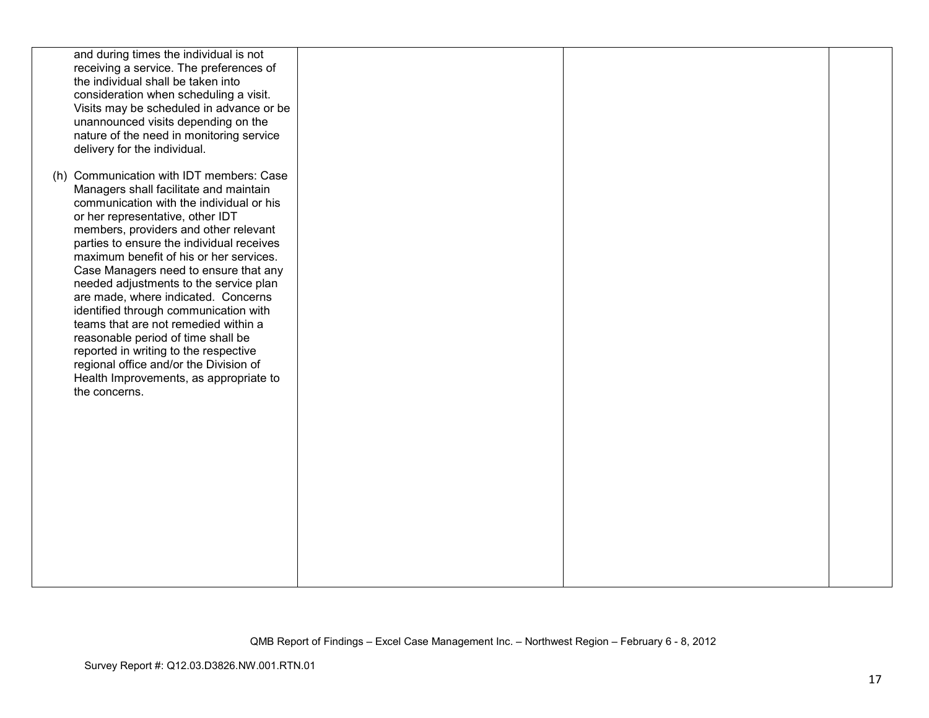| and during times the individual is not<br>receiving a service. The preferences of<br>the individual shall be taken into<br>consideration when scheduling a visit.<br>Visits may be scheduled in advance or be<br>unannounced visits depending on the<br>nature of the need in monitoring service<br>delivery for the individual.                                                                                                                                                                                                                                                                                                                                                                   |  |  |
|----------------------------------------------------------------------------------------------------------------------------------------------------------------------------------------------------------------------------------------------------------------------------------------------------------------------------------------------------------------------------------------------------------------------------------------------------------------------------------------------------------------------------------------------------------------------------------------------------------------------------------------------------------------------------------------------------|--|--|
| (h) Communication with IDT members: Case<br>Managers shall facilitate and maintain<br>communication with the individual or his<br>or her representative, other IDT<br>members, providers and other relevant<br>parties to ensure the individual receives<br>maximum benefit of his or her services.<br>Case Managers need to ensure that any<br>needed adjustments to the service plan<br>are made, where indicated. Concerns<br>identified through communication with<br>teams that are not remedied within a<br>reasonable period of time shall be<br>reported in writing to the respective<br>regional office and/or the Division of<br>Health Improvements, as appropriate to<br>the concerns. |  |  |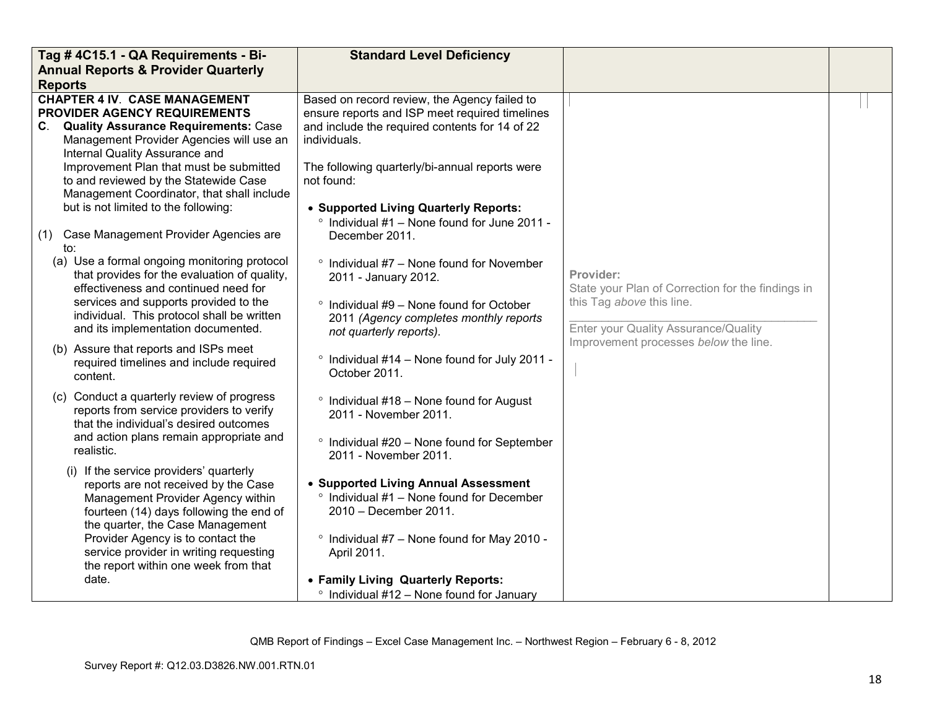| Tag #4C15.1 - QA Requirements - Bi-                                                                                                                                                                                                                                                                                                                                     | <b>Standard Level Deficiency</b>                                                                                                                                                                                                                                                                                          |                                                                                                                                     |  |
|-------------------------------------------------------------------------------------------------------------------------------------------------------------------------------------------------------------------------------------------------------------------------------------------------------------------------------------------------------------------------|---------------------------------------------------------------------------------------------------------------------------------------------------------------------------------------------------------------------------------------------------------------------------------------------------------------------------|-------------------------------------------------------------------------------------------------------------------------------------|--|
| <b>Annual Reports &amp; Provider Quarterly</b>                                                                                                                                                                                                                                                                                                                          |                                                                                                                                                                                                                                                                                                                           |                                                                                                                                     |  |
| <b>Reports</b>                                                                                                                                                                                                                                                                                                                                                          |                                                                                                                                                                                                                                                                                                                           |                                                                                                                                     |  |
| <b>CHAPTER 4 IV. CASE MANAGEMENT</b><br>PROVIDER AGENCY REQUIREMENTS<br>C. Quality Assurance Requirements: Case<br>Management Provider Agencies will use an<br>Internal Quality Assurance and<br>Improvement Plan that must be submitted<br>to and reviewed by the Statewide Case<br>Management Coordinator, that shall include<br>but is not limited to the following: | Based on record review, the Agency failed to<br>ensure reports and ISP meet required timelines<br>and include the required contents for 14 of 22<br>individuals.<br>The following quarterly/bi-annual reports were<br>not found:<br>• Supported Living Quarterly Reports:<br>° Individual #1 - None found for June 2011 - |                                                                                                                                     |  |
| Case Management Provider Agencies are<br>(1)<br>to:                                                                                                                                                                                                                                                                                                                     | December 2011.                                                                                                                                                                                                                                                                                                            |                                                                                                                                     |  |
| (a) Use a formal ongoing monitoring protocol<br>that provides for the evaluation of quality,<br>effectiveness and continued need for<br>services and supports provided to the<br>individual. This protocol shall be written<br>and its implementation documented.                                                                                                       | $\degree$ Individual #7 – None found for November<br>2011 - January 2012.<br>$\degree$ Individual #9 - None found for October<br>2011 (Agency completes monthly reports<br>not quarterly reports).                                                                                                                        | Provider:<br>State your Plan of Correction for the findings in<br>this Tag above this line.<br>Enter your Quality Assurance/Quality |  |
| (b) Assure that reports and ISPs meet<br>required timelines and include required<br>content.                                                                                                                                                                                                                                                                            | ° Individual #14 - None found for July 2011 -<br>October 2011.                                                                                                                                                                                                                                                            | Improvement processes below the line.                                                                                               |  |
| (c) Conduct a quarterly review of progress<br>reports from service providers to verify<br>that the individual's desired outcomes<br>and action plans remain appropriate and<br>realistic.                                                                                                                                                                               | $\degree$ Individual #18 - None found for August<br>2011 - November 2011.<br>° Individual #20 - None found for September<br>2011 - November 2011.                                                                                                                                                                         |                                                                                                                                     |  |
| (i) If the service providers' quarterly<br>reports are not received by the Case<br>Management Provider Agency within<br>fourteen (14) days following the end of<br>the quarter, the Case Management<br>Provider Agency is to contact the<br>service provider in writing requesting<br>the report within one week from that                                              | • Supported Living Annual Assessment<br>$\degree$ Individual #1 – None found for December<br>2010 - December 2011.<br>° Individual #7 - None found for May 2010 -<br>April 2011.                                                                                                                                          |                                                                                                                                     |  |
| date.                                                                                                                                                                                                                                                                                                                                                                   | • Family Living Quarterly Reports:<br>$\degree$ Individual #12 - None found for January                                                                                                                                                                                                                                   |                                                                                                                                     |  |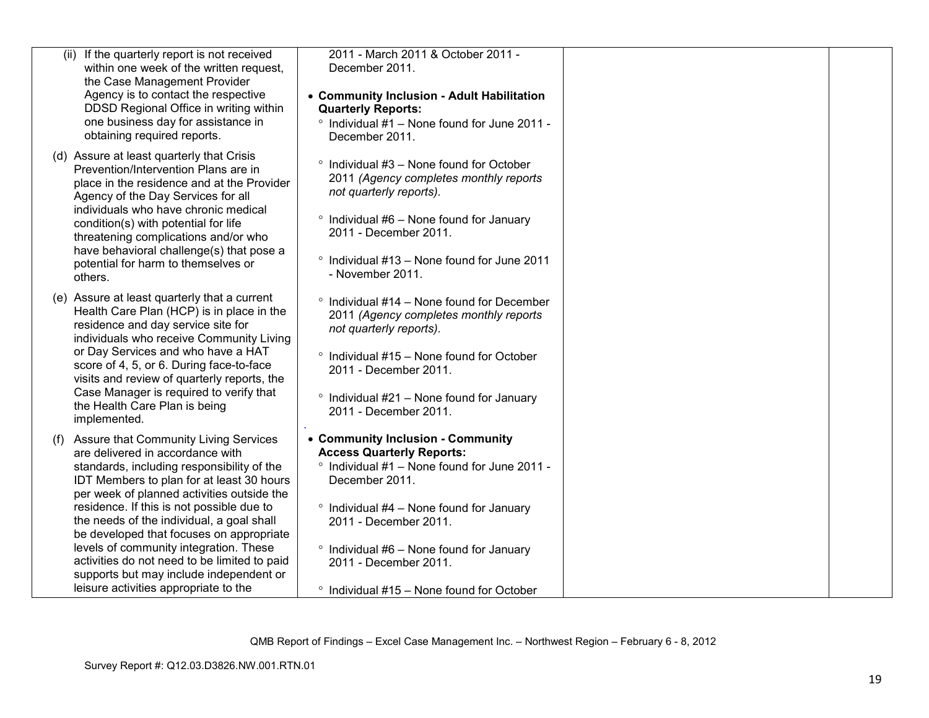| (ii) If the quarterly report is not received<br>within one week of the written request,<br>the Case Management Provider<br>Agency is to contact the respective<br>DDSD Regional Office in writing within<br>one business day for assistance in<br>obtaining required reports.                                                                                                                                                                                                                                                                        | 2011 - March 2011 & October 2011 -<br>December 2011.<br>• Community Inclusion - Adult Habilitation<br><b>Quarterly Reports:</b><br>° Individual #1 - None found for June 2011 -<br>December 2011.                                                                                                                                                      |  |
|------------------------------------------------------------------------------------------------------------------------------------------------------------------------------------------------------------------------------------------------------------------------------------------------------------------------------------------------------------------------------------------------------------------------------------------------------------------------------------------------------------------------------------------------------|--------------------------------------------------------------------------------------------------------------------------------------------------------------------------------------------------------------------------------------------------------------------------------------------------------------------------------------------------------|--|
| (d) Assure at least quarterly that Crisis<br>Prevention/Intervention Plans are in<br>place in the residence and at the Provider<br>Agency of the Day Services for all<br>individuals who have chronic medical<br>condition(s) with potential for life<br>threatening complications and/or who<br>have behavioral challenge(s) that pose a<br>potential for harm to themselves or<br>others.                                                                                                                                                          | $\degree$ Individual #3 – None found for October<br>2011 (Agency completes monthly reports<br>not quarterly reports).<br>$\degree$ Individual #6 – None found for January<br>2011 - December 2011.<br>° Individual #13 - None found for June 2011<br>- November 2011.                                                                                  |  |
| (e) Assure at least quarterly that a current<br>Health Care Plan (HCP) is in place in the<br>residence and day service site for<br>individuals who receive Community Living<br>or Day Services and who have a HAT<br>score of 4, 5, or 6. During face-to-face<br>visits and review of quarterly reports, the<br>Case Manager is required to verify that<br>the Health Care Plan is being<br>implemented.                                                                                                                                             | $\degree$ Individual #14 – None found for December<br>2011 (Agency completes monthly reports<br>not quarterly reports).<br>$\degree$ Individual #15 - None found for October<br>2011 - December 2011.<br>$\degree$ Individual #21 – None found for January<br>2011 - December 2011.                                                                    |  |
| <b>Assure that Community Living Services</b><br>(1)<br>are delivered in accordance with<br>standards, including responsibility of the<br>IDT Members to plan for at least 30 hours<br>per week of planned activities outside the<br>residence. If this is not possible due to<br>the needs of the individual, a goal shall<br>be developed that focuses on appropriate<br>levels of community integration. These<br>activities do not need to be limited to paid<br>supports but may include independent or<br>leisure activities appropriate to the | • Community Inclusion - Community<br><b>Access Quarterly Reports:</b><br>$\degree$ Individual #1 - None found for June 2011 -<br>December 2011.<br>$\degree$ Individual #4 - None found for January<br>2011 - December 2011.<br>° Individual #6 - None found for January<br>2011 - December 2011.<br>$\degree$ Individual #15 – None found for October |  |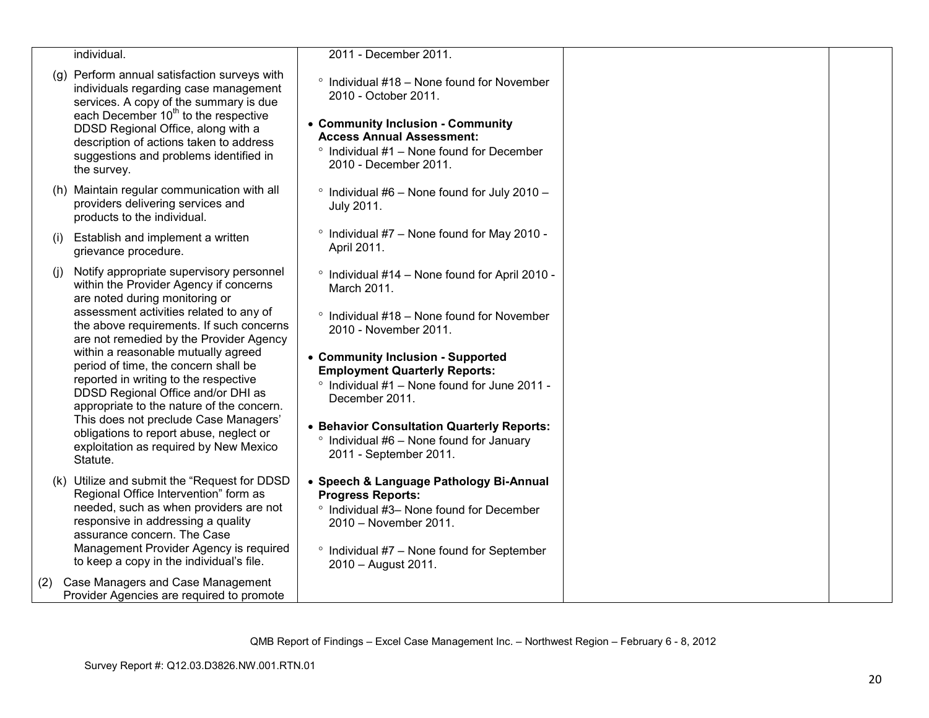|     | individual.                                                                                                                                                                                                                                                                                                                                                                                                                                                                                                                                                                                                 | 2011 - December 2011.                                                                                                                                                                                                                                                                                                                                                                                                            |  |
|-----|-------------------------------------------------------------------------------------------------------------------------------------------------------------------------------------------------------------------------------------------------------------------------------------------------------------------------------------------------------------------------------------------------------------------------------------------------------------------------------------------------------------------------------------------------------------------------------------------------------------|----------------------------------------------------------------------------------------------------------------------------------------------------------------------------------------------------------------------------------------------------------------------------------------------------------------------------------------------------------------------------------------------------------------------------------|--|
|     | (g) Perform annual satisfaction surveys with<br>individuals regarding case management<br>services. A copy of the summary is due<br>each December 10 <sup>th</sup> to the respective<br>DDSD Regional Office, along with a<br>description of actions taken to address<br>suggestions and problems identified in<br>the survey.                                                                                                                                                                                                                                                                               | $\degree$ Individual #18 - None found for November<br>2010 - October 2011.<br>• Community Inclusion - Community<br><b>Access Annual Assessment:</b><br>Individual #1 - None found for December<br>$\circ$<br>2010 - December 2011.                                                                                                                                                                                               |  |
|     | (h) Maintain regular communication with all<br>providers delivering services and<br>products to the individual.                                                                                                                                                                                                                                                                                                                                                                                                                                                                                             | $\degree$ Individual #6 - None found for July 2010 -<br>July 2011.                                                                                                                                                                                                                                                                                                                                                               |  |
| (i) | Establish and implement a written<br>grievance procedure.                                                                                                                                                                                                                                                                                                                                                                                                                                                                                                                                                   | <sup>o</sup> Individual #7 - None found for May 2010 -<br>April 2011.                                                                                                                                                                                                                                                                                                                                                            |  |
| (i) | Notify appropriate supervisory personnel<br>within the Provider Agency if concerns<br>are noted during monitoring or<br>assessment activities related to any of<br>the above requirements. If such concerns<br>are not remedied by the Provider Agency<br>within a reasonable mutually agreed<br>period of time, the concern shall be<br>reported in writing to the respective<br>DDSD Regional Office and/or DHI as<br>appropriate to the nature of the concern.<br>This does not preclude Case Managers'<br>obligations to report abuse, neglect or<br>exploitation as required by New Mexico<br>Statute. | ° Individual #14 - None found for April 2010 -<br>March 2011.<br>Individual #18 - None found for November<br>$\circ$<br>2010 - November 2011.<br>• Community Inclusion - Supported<br><b>Employment Quarterly Reports:</b><br>$\degree$ Individual #1 – None found for June 2011 -<br>December 2011.<br>• Behavior Consultation Quarterly Reports:<br>$\degree$ Individual #6 - None found for January<br>2011 - September 2011. |  |
|     | (k) Utilize and submit the "Request for DDSD<br>Regional Office Intervention" form as<br>needed, such as when providers are not<br>responsive in addressing a quality<br>assurance concern. The Case<br>Management Provider Agency is required<br>to keep a copy in the individual's file.                                                                                                                                                                                                                                                                                                                  | • Speech & Language Pathology Bi-Annual<br><b>Progress Reports:</b><br>° Individual #3- None found for December<br>2010 - November 2011.<br>$\degree$ Individual #7 – None found for September<br>2010 - August 2011.                                                                                                                                                                                                            |  |
| (2) | Case Managers and Case Management<br>Provider Agencies are required to promote                                                                                                                                                                                                                                                                                                                                                                                                                                                                                                                              |                                                                                                                                                                                                                                                                                                                                                                                                                                  |  |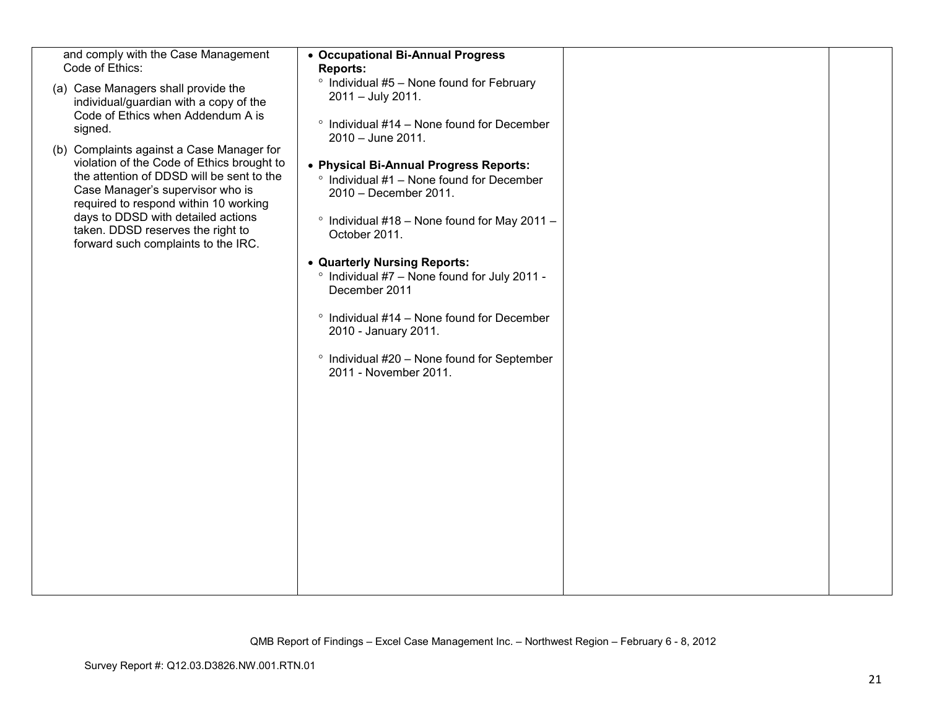| and comply with the Case Management<br>Code of Ethics:<br>(a) Case Managers shall provide the<br>individual/guardian with a copy of the<br>Code of Ethics when Addendum A is<br>signed.<br>(b) Complaints against a Case Manager for<br>violation of the Code of Ethics brought to<br>the attention of DDSD will be sent to the<br>Case Manager's supervisor who is<br>required to respond within 10 working<br>days to DDSD with detailed actions<br>taken. DDSD reserves the right to<br>forward such complaints to the IRC. | • Occupational Bi-Annual Progress<br><b>Reports:</b><br><sup>o</sup> Individual #5 - None found for February<br>2011 - July 2011.<br>$\degree$ Individual #14 - None found for December<br>$2010 - June 2011.$<br>• Physical Bi-Annual Progress Reports:<br>$\degree$ Individual #1 – None found for December<br>2010 - December 2011.<br>$\degree$ Individual #18 - None found for May 2011 -<br>October 2011.<br>• Quarterly Nursing Reports:<br><sup>o</sup> Individual #7 - None found for July 2011 -<br>December 2011<br>$\degree$ Individual #14 – None found for December<br>2010 - January 2011.<br>° Individual #20 - None found for September<br>2011 - November 2011. |  |
|--------------------------------------------------------------------------------------------------------------------------------------------------------------------------------------------------------------------------------------------------------------------------------------------------------------------------------------------------------------------------------------------------------------------------------------------------------------------------------------------------------------------------------|-----------------------------------------------------------------------------------------------------------------------------------------------------------------------------------------------------------------------------------------------------------------------------------------------------------------------------------------------------------------------------------------------------------------------------------------------------------------------------------------------------------------------------------------------------------------------------------------------------------------------------------------------------------------------------------|--|
|                                                                                                                                                                                                                                                                                                                                                                                                                                                                                                                                |                                                                                                                                                                                                                                                                                                                                                                                                                                                                                                                                                                                                                                                                                   |  |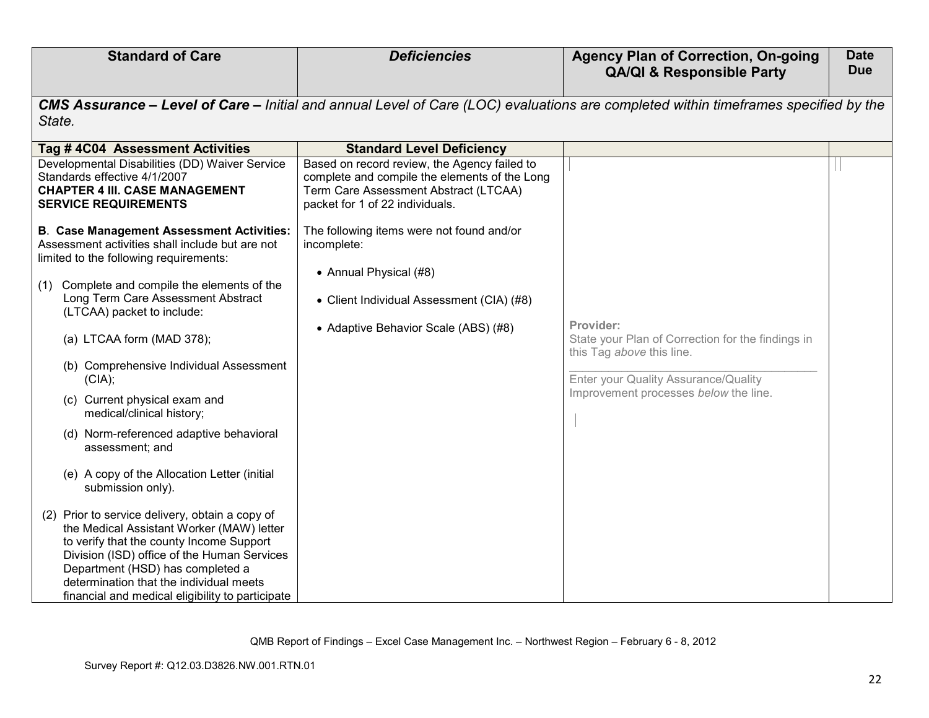| <b>Standard of Care</b>                                                                                                                                                                                                                                                                                                       | <b>Deficiencies</b>                                                                                                                                                       | <b>Agency Plan of Correction, On-going</b><br><b>QA/QI &amp; Responsible Party</b>                                                  | <b>Date</b><br><b>Due</b> |
|-------------------------------------------------------------------------------------------------------------------------------------------------------------------------------------------------------------------------------------------------------------------------------------------------------------------------------|---------------------------------------------------------------------------------------------------------------------------------------------------------------------------|-------------------------------------------------------------------------------------------------------------------------------------|---------------------------|
| State.                                                                                                                                                                                                                                                                                                                        |                                                                                                                                                                           | CMS Assurance - Level of Care - Initial and annual Level of Care (LOC) evaluations are completed within timeframes specified by the |                           |
| Tag #4C04 Assessment Activities                                                                                                                                                                                                                                                                                               | <b>Standard Level Deficiency</b>                                                                                                                                          |                                                                                                                                     |                           |
| Developmental Disabilities (DD) Waiver Service<br>Standards effective 4/1/2007<br><b>CHAPTER 4 III. CASE MANAGEMENT</b><br><b>SERVICE REQUIREMENTS</b>                                                                                                                                                                        | Based on record review, the Agency failed to<br>complete and compile the elements of the Long<br>Term Care Assessment Abstract (LTCAA)<br>packet for 1 of 22 individuals. |                                                                                                                                     |                           |
| <b>B. Case Management Assessment Activities:</b><br>Assessment activities shall include but are not<br>limited to the following requirements:                                                                                                                                                                                 | The following items were not found and/or<br>incomplete:<br>• Annual Physical (#8)                                                                                        |                                                                                                                                     |                           |
| (1) Complete and compile the elements of the<br>Long Term Care Assessment Abstract<br>(LTCAA) packet to include:                                                                                                                                                                                                              | • Client Individual Assessment (CIA) (#8)                                                                                                                                 |                                                                                                                                     |                           |
| (a) LTCAA form (MAD 378);                                                                                                                                                                                                                                                                                                     | • Adaptive Behavior Scale (ABS) (#8)                                                                                                                                      | Provider:<br>State your Plan of Correction for the findings in<br>this Tag above this line.                                         |                           |
| (b) Comprehensive Individual Assessment<br>(CIA);                                                                                                                                                                                                                                                                             |                                                                                                                                                                           | Enter your Quality Assurance/Quality                                                                                                |                           |
| (c) Current physical exam and<br>medical/clinical history;                                                                                                                                                                                                                                                                    |                                                                                                                                                                           | Improvement processes below the line.                                                                                               |                           |
| (d) Norm-referenced adaptive behavioral<br>assessment; and                                                                                                                                                                                                                                                                    |                                                                                                                                                                           |                                                                                                                                     |                           |
| (e) A copy of the Allocation Letter (initial<br>submission only).                                                                                                                                                                                                                                                             |                                                                                                                                                                           |                                                                                                                                     |                           |
| Prior to service delivery, obtain a copy of<br>(2)<br>the Medical Assistant Worker (MAW) letter<br>to verify that the county Income Support<br>Division (ISD) office of the Human Services<br>Department (HSD) has completed a<br>determination that the individual meets<br>financial and medical eligibility to participate |                                                                                                                                                                           |                                                                                                                                     |                           |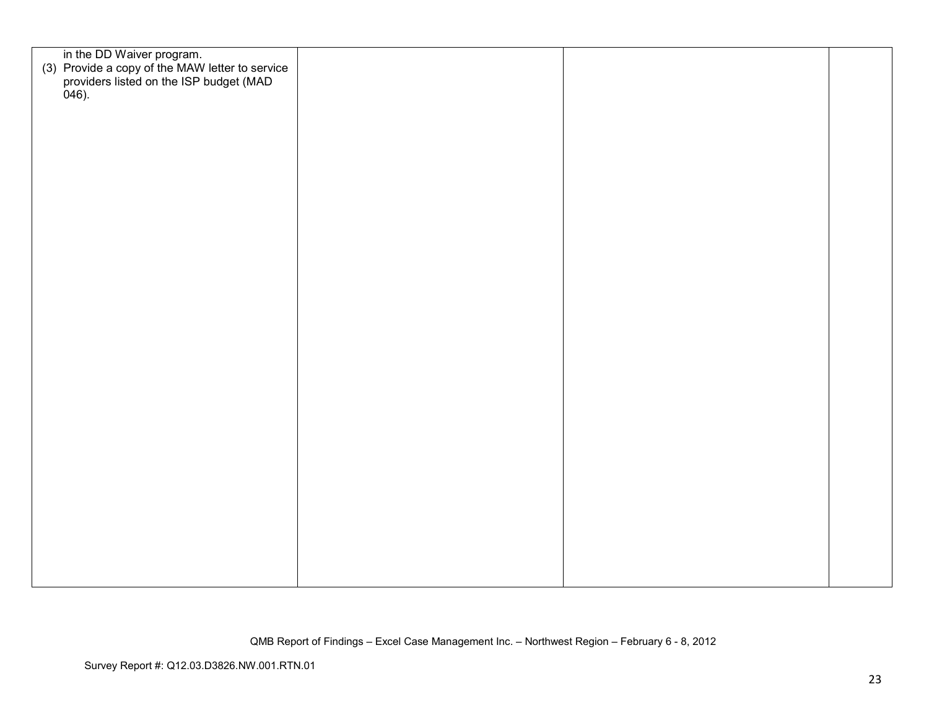| in the DD Waiver program.<br>(3) Provide a copy of the MAW letter to service<br>providers listed on the ISP budget (MAD<br>046). |  |  |
|----------------------------------------------------------------------------------------------------------------------------------|--|--|
|                                                                                                                                  |  |  |
|                                                                                                                                  |  |  |
|                                                                                                                                  |  |  |
|                                                                                                                                  |  |  |
|                                                                                                                                  |  |  |
|                                                                                                                                  |  |  |
|                                                                                                                                  |  |  |
|                                                                                                                                  |  |  |
|                                                                                                                                  |  |  |
|                                                                                                                                  |  |  |
|                                                                                                                                  |  |  |
|                                                                                                                                  |  |  |
|                                                                                                                                  |  |  |
|                                                                                                                                  |  |  |
|                                                                                                                                  |  |  |
|                                                                                                                                  |  |  |
|                                                                                                                                  |  |  |
|                                                                                                                                  |  |  |
|                                                                                                                                  |  |  |
|                                                                                                                                  |  |  |
|                                                                                                                                  |  |  |
|                                                                                                                                  |  |  |
|                                                                                                                                  |  |  |
|                                                                                                                                  |  |  |
|                                                                                                                                  |  |  |
|                                                                                                                                  |  |  |
|                                                                                                                                  |  |  |
|                                                                                                                                  |  |  |
|                                                                                                                                  |  |  |
|                                                                                                                                  |  |  |
|                                                                                                                                  |  |  |
|                                                                                                                                  |  |  |
|                                                                                                                                  |  |  |
|                                                                                                                                  |  |  |
|                                                                                                                                  |  |  |
|                                                                                                                                  |  |  |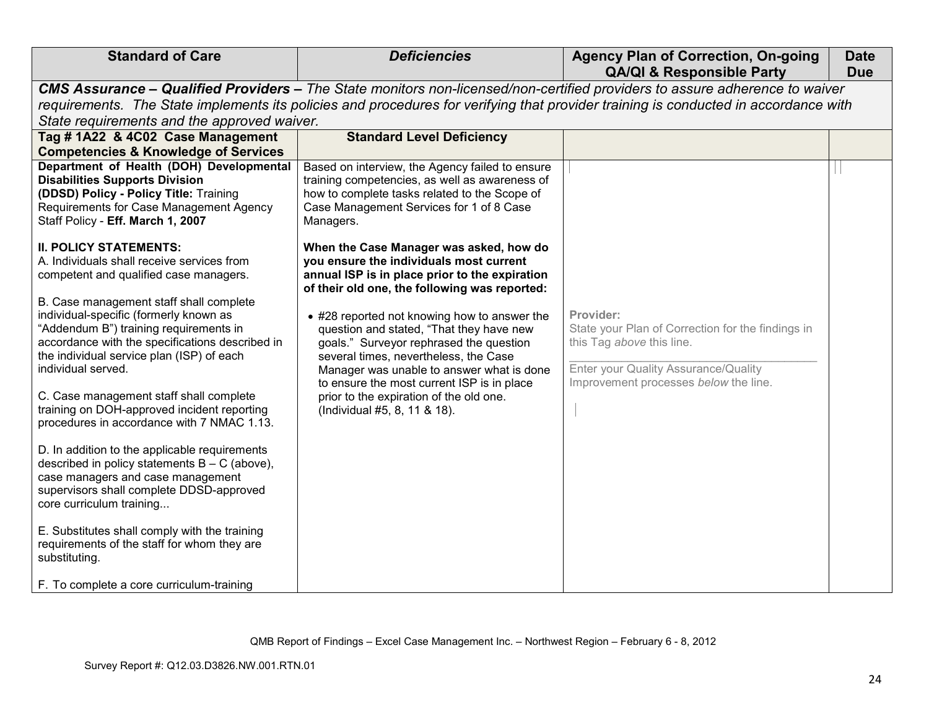| <b>Standard of Care</b>                                                                                                                                                                                                                           | <b>Deficiencies</b>                                                                                                                                                                                                                                                | <b>Agency Plan of Correction, On-going</b><br><b>QA/QI &amp; Responsible Party</b>                                                  | <b>Date</b><br><b>Due</b> |  |  |
|---------------------------------------------------------------------------------------------------------------------------------------------------------------------------------------------------------------------------------------------------|--------------------------------------------------------------------------------------------------------------------------------------------------------------------------------------------------------------------------------------------------------------------|-------------------------------------------------------------------------------------------------------------------------------------|---------------------------|--|--|
| State requirements and the approved waiver.                                                                                                                                                                                                       | CMS Assurance – Qualified Providers – The State monitors non-licensed/non-certified providers to assure adherence to waiver<br>requirements. The State implements its policies and procedures for verifying that provider training is conducted in accordance with |                                                                                                                                     |                           |  |  |
| Tag #1A22 & 4C02 Case Management<br><b>Competencies &amp; Knowledge of Services</b>                                                                                                                                                               | <b>Standard Level Deficiency</b>                                                                                                                                                                                                                                   |                                                                                                                                     |                           |  |  |
| Department of Health (DOH) Developmental<br><b>Disabilities Supports Division</b><br>(DDSD) Policy - Policy Title: Training<br>Requirements for Case Management Agency<br>Staff Policy - Eff. March 1, 2007                                       | Based on interview, the Agency failed to ensure<br>training competencies, as well as awareness of<br>how to complete tasks related to the Scope of<br>Case Management Services for 1 of 8 Case<br>Managers.                                                        |                                                                                                                                     |                           |  |  |
| <b>II. POLICY STATEMENTS:</b><br>A. Individuals shall receive services from<br>competent and qualified case managers.                                                                                                                             | When the Case Manager was asked, how do<br>you ensure the individuals most current<br>annual ISP is in place prior to the expiration<br>of their old one, the following was reported:                                                                              |                                                                                                                                     |                           |  |  |
| B. Case management staff shall complete<br>individual-specific (formerly known as<br>"Addendum B") training requirements in<br>accordance with the specifications described in<br>the individual service plan (ISP) of each<br>individual served. | • #28 reported not knowing how to answer the<br>question and stated, "That they have new<br>goals." Surveyor rephrased the question<br>several times, nevertheless, the Case<br>Manager was unable to answer what is done                                          | Provider:<br>State your Plan of Correction for the findings in<br>this Tag above this line.<br>Enter your Quality Assurance/Quality |                           |  |  |
| C. Case management staff shall complete<br>training on DOH-approved incident reporting<br>procedures in accordance with 7 NMAC 1.13.                                                                                                              | to ensure the most current ISP is in place<br>prior to the expiration of the old one.<br>(Individual #5, 8, 11 & 18).                                                                                                                                              | Improvement processes below the line.                                                                                               |                           |  |  |
| D. In addition to the applicable requirements<br>described in policy statements $B - C$ (above),<br>case managers and case management<br>supervisors shall complete DDSD-approved<br>core curriculum training                                     |                                                                                                                                                                                                                                                                    |                                                                                                                                     |                           |  |  |
| E. Substitutes shall comply with the training<br>requirements of the staff for whom they are<br>substituting.<br>F. To complete a core curriculum-training                                                                                        |                                                                                                                                                                                                                                                                    |                                                                                                                                     |                           |  |  |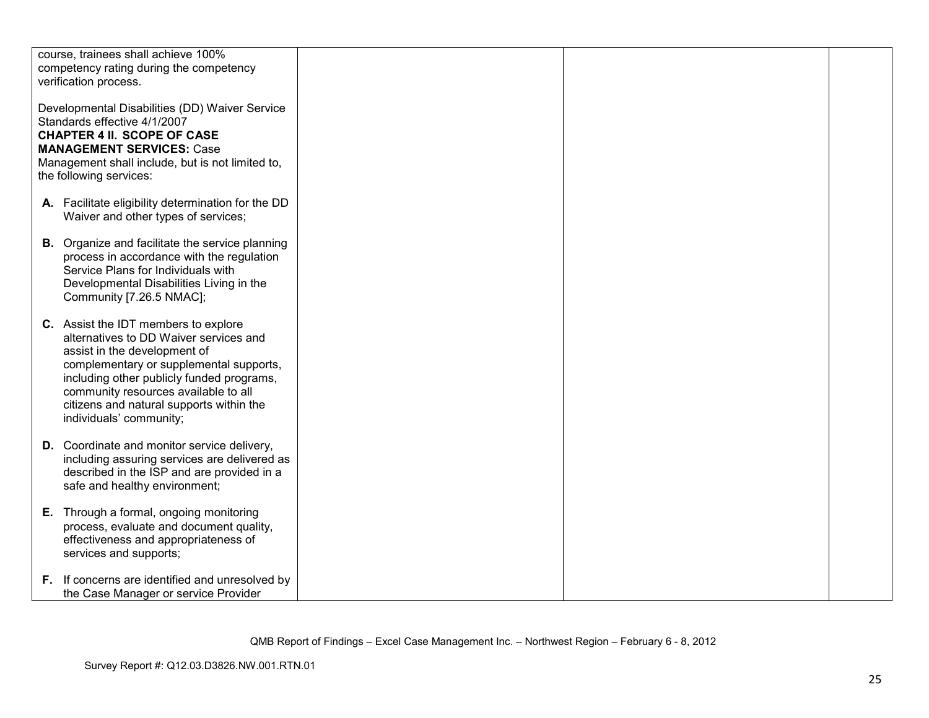| course, trainees shall achieve 100%<br>competency rating during the competency<br>verification process.                                                                                                                                                                                                               |  |  |
|-----------------------------------------------------------------------------------------------------------------------------------------------------------------------------------------------------------------------------------------------------------------------------------------------------------------------|--|--|
| Developmental Disabilities (DD) Waiver Service<br>Standards effective 4/1/2007<br><b>CHAPTER 4 II. SCOPE OF CASE</b><br><b>MANAGEMENT SERVICES: Case</b><br>Management shall include, but is not limited to,<br>the following services:                                                                               |  |  |
| A. Facilitate eligibility determination for the DD<br>Waiver and other types of services;                                                                                                                                                                                                                             |  |  |
| <b>B.</b> Organize and facilitate the service planning<br>process in accordance with the regulation<br>Service Plans for Individuals with<br>Developmental Disabilities Living in the<br>Community [7.26.5 NMAC];                                                                                                     |  |  |
| C. Assist the IDT members to explore<br>alternatives to DD Waiver services and<br>assist in the development of<br>complementary or supplemental supports,<br>including other publicly funded programs,<br>community resources available to all<br>citizens and natural supports within the<br>individuals' community; |  |  |
| <b>D.</b> Coordinate and monitor service delivery,<br>including assuring services are delivered as<br>described in the ISP and are provided in a<br>safe and healthy environment;                                                                                                                                     |  |  |
| E. Through a formal, ongoing monitoring<br>process, evaluate and document quality,<br>effectiveness and appropriateness of<br>services and supports;                                                                                                                                                                  |  |  |
| F. If concerns are identified and unresolved by<br>the Case Manager or service Provider                                                                                                                                                                                                                               |  |  |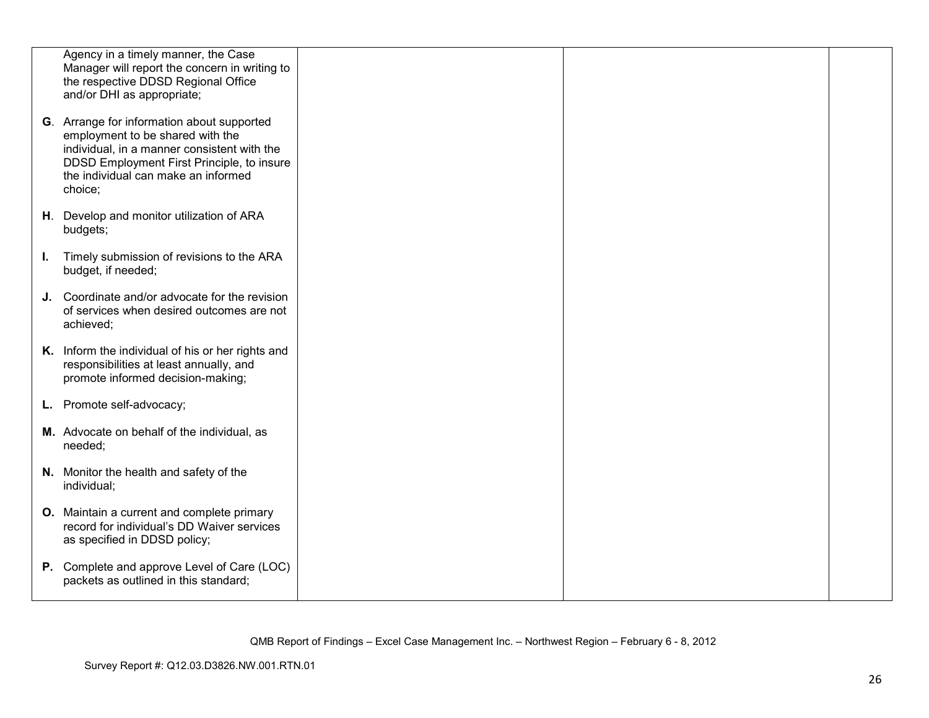|    | Agency in a timely manner, the Case<br>Manager will report the concern in writing to<br>the respective DDSD Regional Office                                                                                                   |  |  |
|----|-------------------------------------------------------------------------------------------------------------------------------------------------------------------------------------------------------------------------------|--|--|
|    | and/or DHI as appropriate;                                                                                                                                                                                                    |  |  |
|    | G. Arrange for information about supported<br>employment to be shared with the<br>individual, in a manner consistent with the<br>DDSD Employment First Principle, to insure<br>the individual can make an informed<br>choice; |  |  |
|    | H. Develop and monitor utilization of ARA<br>budgets;                                                                                                                                                                         |  |  |
| L. | Timely submission of revisions to the ARA<br>budget, if needed;                                                                                                                                                               |  |  |
|    | J. Coordinate and/or advocate for the revision<br>of services when desired outcomes are not<br>achieved;                                                                                                                      |  |  |
|    | K. Inform the individual of his or her rights and<br>responsibilities at least annually, and<br>promote informed decision-making;                                                                                             |  |  |
|    | L. Promote self-advocacy;                                                                                                                                                                                                     |  |  |
|    | M. Advocate on behalf of the individual, as<br>needed;                                                                                                                                                                        |  |  |
|    | N. Monitor the health and safety of the<br>individual;                                                                                                                                                                        |  |  |
|    | O. Maintain a current and complete primary<br>record for individual's DD Waiver services<br>as specified in DDSD policy;                                                                                                      |  |  |
|    | P. Complete and approve Level of Care (LOC)<br>packets as outlined in this standard;                                                                                                                                          |  |  |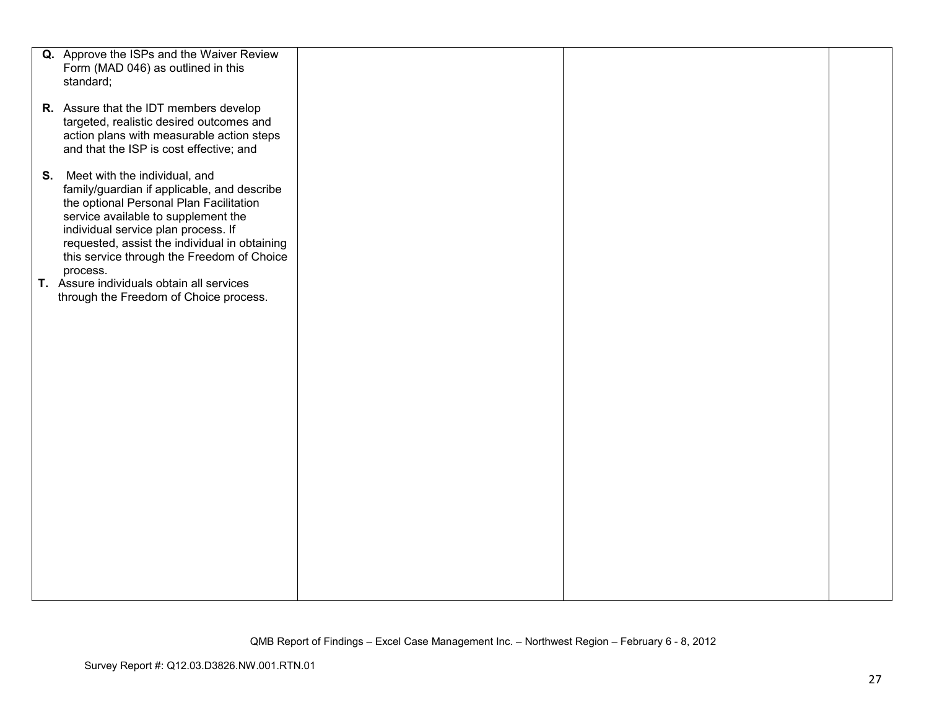| Q. Approve the ISPs and the Waiver Review             |  |  |
|-------------------------------------------------------|--|--|
| Form (MAD 046) as outlined in this                    |  |  |
| standard;                                             |  |  |
|                                                       |  |  |
| R. Assure that the IDT members develop                |  |  |
|                                                       |  |  |
| targeted, realistic desired outcomes and              |  |  |
| action plans with measurable action steps             |  |  |
| and that the ISP is cost effective; and               |  |  |
|                                                       |  |  |
| S. Meet with the individual, and                      |  |  |
| family/guardian if applicable, and describe           |  |  |
| the optional Personal Plan Facilitation               |  |  |
| service available to supplement the                   |  |  |
| individual service plan process. If                   |  |  |
| requested, assist the individual in obtaining         |  |  |
| this service through the Freedom of Choice            |  |  |
|                                                       |  |  |
| process.<br>T. Assure individuals obtain all services |  |  |
|                                                       |  |  |
| through the Freedom of Choice process.                |  |  |
|                                                       |  |  |
|                                                       |  |  |
|                                                       |  |  |
|                                                       |  |  |
|                                                       |  |  |
|                                                       |  |  |
|                                                       |  |  |
|                                                       |  |  |
|                                                       |  |  |
|                                                       |  |  |
|                                                       |  |  |
|                                                       |  |  |
|                                                       |  |  |
|                                                       |  |  |
|                                                       |  |  |
|                                                       |  |  |
|                                                       |  |  |
|                                                       |  |  |
|                                                       |  |  |
|                                                       |  |  |
|                                                       |  |  |
|                                                       |  |  |
|                                                       |  |  |
|                                                       |  |  |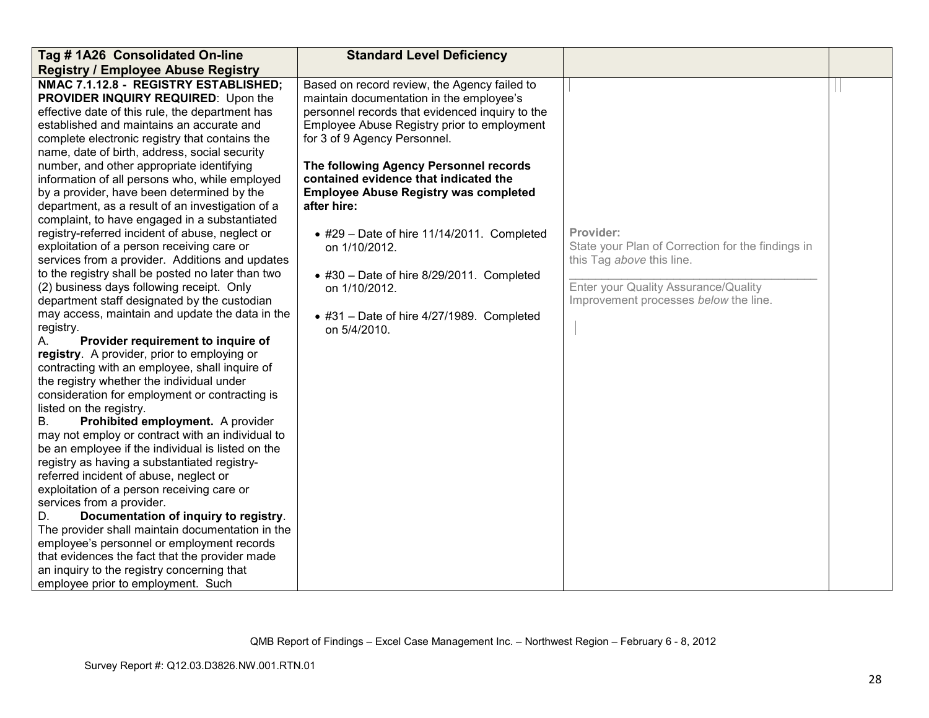| Tag # 1A26 Consolidated On-line                                                                                                                                                                                                                                                                                                                                                                                                                                                                                                                                                                                                                                                                                                                                                                                                                                                                                                                                                                                                                                                                                                                                                                                                                                                                                                                                                                                                                                                                                                                                                                                                                                                                            | <b>Standard Level Deficiency</b>                                                                                                                                                                                                                                                                                                                                                                                                                                                                                                                                                               |                                                                                                                                                                              |  |
|------------------------------------------------------------------------------------------------------------------------------------------------------------------------------------------------------------------------------------------------------------------------------------------------------------------------------------------------------------------------------------------------------------------------------------------------------------------------------------------------------------------------------------------------------------------------------------------------------------------------------------------------------------------------------------------------------------------------------------------------------------------------------------------------------------------------------------------------------------------------------------------------------------------------------------------------------------------------------------------------------------------------------------------------------------------------------------------------------------------------------------------------------------------------------------------------------------------------------------------------------------------------------------------------------------------------------------------------------------------------------------------------------------------------------------------------------------------------------------------------------------------------------------------------------------------------------------------------------------------------------------------------------------------------------------------------------------|------------------------------------------------------------------------------------------------------------------------------------------------------------------------------------------------------------------------------------------------------------------------------------------------------------------------------------------------------------------------------------------------------------------------------------------------------------------------------------------------------------------------------------------------------------------------------------------------|------------------------------------------------------------------------------------------------------------------------------------------------------------------------------|--|
| <b>Registry / Employee Abuse Registry</b>                                                                                                                                                                                                                                                                                                                                                                                                                                                                                                                                                                                                                                                                                                                                                                                                                                                                                                                                                                                                                                                                                                                                                                                                                                                                                                                                                                                                                                                                                                                                                                                                                                                                  |                                                                                                                                                                                                                                                                                                                                                                                                                                                                                                                                                                                                |                                                                                                                                                                              |  |
| NMAC 7.1.12.8 - REGISTRY ESTABLISHED;<br>PROVIDER INQUIRY REQUIRED: Upon the<br>effective date of this rule, the department has<br>established and maintains an accurate and<br>complete electronic registry that contains the<br>name, date of birth, address, social security<br>number, and other appropriate identifying<br>information of all persons who, while employed<br>by a provider, have been determined by the<br>department, as a result of an investigation of a<br>complaint, to have engaged in a substantiated<br>registry-referred incident of abuse, neglect or<br>exploitation of a person receiving care or<br>services from a provider. Additions and updates<br>to the registry shall be posted no later than two<br>(2) business days following receipt. Only<br>department staff designated by the custodian<br>may access, maintain and update the data in the<br>registry.<br>Provider requirement to inquire of<br>А.<br>registry. A provider, prior to employing or<br>contracting with an employee, shall inquire of<br>the registry whether the individual under<br>consideration for employment or contracting is<br>listed on the registry.<br>Prohibited employment. A provider<br>В.<br>may not employ or contract with an individual to<br>be an employee if the individual is listed on the<br>registry as having a substantiated registry-<br>referred incident of abuse, neglect or<br>exploitation of a person receiving care or<br>services from a provider.<br>Documentation of inquiry to registry.<br>D.<br>The provider shall maintain documentation in the<br>employee's personnel or employment records<br>that evidences the fact that the provider made | Based on record review, the Agency failed to<br>maintain documentation in the employee's<br>personnel records that evidenced inquiry to the<br>Employee Abuse Registry prior to employment<br>for 3 of 9 Agency Personnel.<br>The following Agency Personnel records<br>contained evidence that indicated the<br><b>Employee Abuse Registry was completed</b><br>after hire:<br>$\bullet$ #29 - Date of hire 11/14/2011. Completed<br>on 1/10/2012.<br>$\bullet$ #30 - Date of hire 8/29/2011. Completed<br>on 1/10/2012.<br>$\bullet$ #31 - Date of hire 4/27/1989. Completed<br>on 5/4/2010. | Provider:<br>State your Plan of Correction for the findings in<br>this Tag above this line.<br>Enter your Quality Assurance/Quality<br>Improvement processes below the line. |  |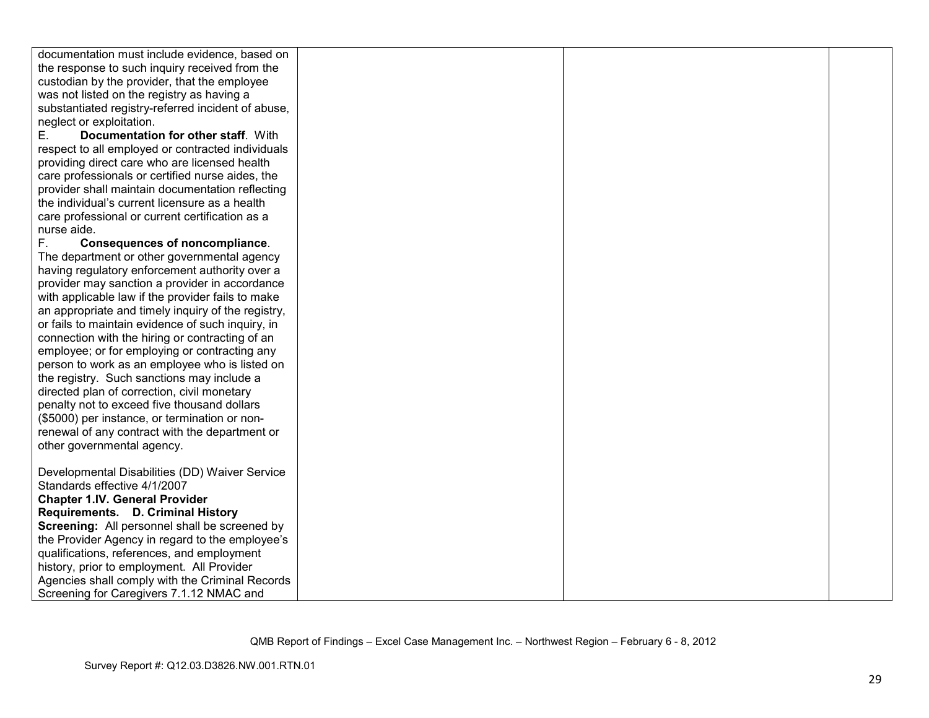| documentation must include evidence, based on      |  |  |
|----------------------------------------------------|--|--|
| the response to such inquiry received from the     |  |  |
| custodian by the provider, that the employee       |  |  |
| was not listed on the registry as having a         |  |  |
| substantiated registry-referred incident of abuse, |  |  |
| neglect or exploitation.                           |  |  |
| Documentation for other staff. With<br>Е.          |  |  |
| respect to all employed or contracted individuals  |  |  |
| providing direct care who are licensed health      |  |  |
| care professionals or certified nurse aides, the   |  |  |
| provider shall maintain documentation reflecting   |  |  |
| the individual's current licensure as a health     |  |  |
| care professional or current certification as a    |  |  |
| nurse aide.                                        |  |  |
| F.<br><b>Consequences of noncompliance.</b>        |  |  |
| The department or other governmental agency        |  |  |
| having regulatory enforcement authority over a     |  |  |
| provider may sanction a provider in accordance     |  |  |
| with applicable law if the provider fails to make  |  |  |
| an appropriate and timely inquiry of the registry, |  |  |
| or fails to maintain evidence of such inquiry, in  |  |  |
| connection with the hiring or contracting of an    |  |  |
| employee; or for employing or contracting any      |  |  |
| person to work as an employee who is listed on     |  |  |
| the registry. Such sanctions may include a         |  |  |
| directed plan of correction, civil monetary        |  |  |
| penalty not to exceed five thousand dollars        |  |  |
| (\$5000) per instance, or termination or non-      |  |  |
| renewal of any contract with the department or     |  |  |
| other governmental agency.                         |  |  |
|                                                    |  |  |
| Developmental Disabilities (DD) Waiver Service     |  |  |
| Standards effective 4/1/2007                       |  |  |
| <b>Chapter 1.IV. General Provider</b>              |  |  |
| Requirements. D. Criminal History                  |  |  |
| Screening: All personnel shall be screened by      |  |  |
| the Provider Agency in regard to the employee's    |  |  |
| qualifications, references, and employment         |  |  |
| history, prior to employment. All Provider         |  |  |
| Agencies shall comply with the Criminal Records    |  |  |
| Screening for Caregivers 7.1.12 NMAC and           |  |  |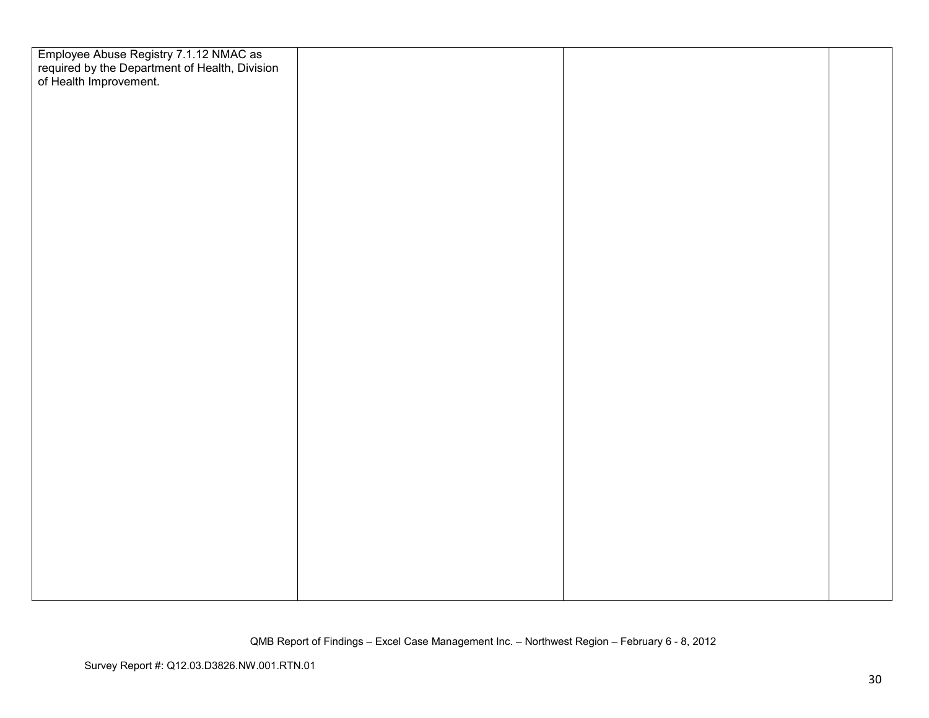| Employee Abuse Registry 7.1.12 NMAC as<br>required by the Department of Health, Division<br>of Health Improvement. |  |  |
|--------------------------------------------------------------------------------------------------------------------|--|--|
|                                                                                                                    |  |  |
|                                                                                                                    |  |  |
|                                                                                                                    |  |  |
|                                                                                                                    |  |  |
|                                                                                                                    |  |  |
|                                                                                                                    |  |  |
|                                                                                                                    |  |  |
|                                                                                                                    |  |  |
|                                                                                                                    |  |  |
|                                                                                                                    |  |  |
|                                                                                                                    |  |  |
|                                                                                                                    |  |  |
|                                                                                                                    |  |  |
|                                                                                                                    |  |  |
|                                                                                                                    |  |  |
|                                                                                                                    |  |  |
|                                                                                                                    |  |  |
|                                                                                                                    |  |  |
|                                                                                                                    |  |  |
|                                                                                                                    |  |  |
|                                                                                                                    |  |  |
|                                                                                                                    |  |  |
|                                                                                                                    |  |  |
|                                                                                                                    |  |  |
|                                                                                                                    |  |  |
|                                                                                                                    |  |  |
|                                                                                                                    |  |  |
|                                                                                                                    |  |  |
|                                                                                                                    |  |  |
|                                                                                                                    |  |  |
|                                                                                                                    |  |  |
|                                                                                                                    |  |  |
|                                                                                                                    |  |  |
|                                                                                                                    |  |  |
|                                                                                                                    |  |  |
|                                                                                                                    |  |  |
|                                                                                                                    |  |  |
|                                                                                                                    |  |  |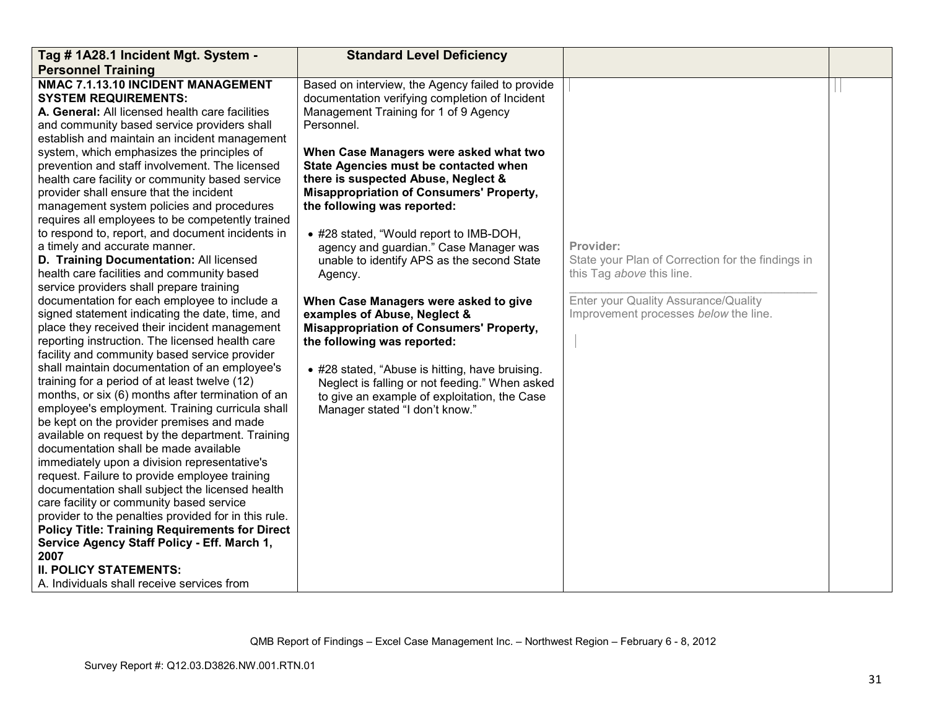| Tag # 1A28.1 Incident Mgt. System -                                                                                                                                                                                                                                                                                                                                                                                                                                                                                                                                                                                                                                                                                                                                                                                                                                                                                                                                                                                                                                                                                                                                                                                                                                                                                                                                                                                                                                                                                                                                                                                                                                                                                                                                                                              | <b>Standard Level Deficiency</b>                                                                                                                                                                                                                                                                                                                                                                                                                                                                                                                                                                                                                                                                                                                                                                                                                                      |                                                                                                                                                                              |  |
|------------------------------------------------------------------------------------------------------------------------------------------------------------------------------------------------------------------------------------------------------------------------------------------------------------------------------------------------------------------------------------------------------------------------------------------------------------------------------------------------------------------------------------------------------------------------------------------------------------------------------------------------------------------------------------------------------------------------------------------------------------------------------------------------------------------------------------------------------------------------------------------------------------------------------------------------------------------------------------------------------------------------------------------------------------------------------------------------------------------------------------------------------------------------------------------------------------------------------------------------------------------------------------------------------------------------------------------------------------------------------------------------------------------------------------------------------------------------------------------------------------------------------------------------------------------------------------------------------------------------------------------------------------------------------------------------------------------------------------------------------------------------------------------------------------------|-----------------------------------------------------------------------------------------------------------------------------------------------------------------------------------------------------------------------------------------------------------------------------------------------------------------------------------------------------------------------------------------------------------------------------------------------------------------------------------------------------------------------------------------------------------------------------------------------------------------------------------------------------------------------------------------------------------------------------------------------------------------------------------------------------------------------------------------------------------------------|------------------------------------------------------------------------------------------------------------------------------------------------------------------------------|--|
| <b>Personnel Training</b>                                                                                                                                                                                                                                                                                                                                                                                                                                                                                                                                                                                                                                                                                                                                                                                                                                                                                                                                                                                                                                                                                                                                                                                                                                                                                                                                                                                                                                                                                                                                                                                                                                                                                                                                                                                        |                                                                                                                                                                                                                                                                                                                                                                                                                                                                                                                                                                                                                                                                                                                                                                                                                                                                       |                                                                                                                                                                              |  |
| NMAC 7.1.13.10 INCIDENT MANAGEMENT<br><b>SYSTEM REQUIREMENTS:</b><br>A. General: All licensed health care facilities<br>and community based service providers shall<br>establish and maintain an incident management<br>system, which emphasizes the principles of<br>prevention and staff involvement. The licensed<br>health care facility or community based service<br>provider shall ensure that the incident<br>management system policies and procedures<br>requires all employees to be competently trained<br>to respond to, report, and document incidents in<br>a timely and accurate manner.<br>D. Training Documentation: All licensed<br>health care facilities and community based<br>service providers shall prepare training<br>documentation for each employee to include a<br>signed statement indicating the date, time, and<br>place they received their incident management<br>reporting instruction. The licensed health care<br>facility and community based service provider<br>shall maintain documentation of an employee's<br>training for a period of at least twelve (12)<br>months, or six (6) months after termination of an<br>employee's employment. Training curricula shall<br>be kept on the provider premises and made<br>available on request by the department. Training<br>documentation shall be made available<br>immediately upon a division representative's<br>request. Failure to provide employee training<br>documentation shall subject the licensed health<br>care facility or community based service<br>provider to the penalties provided for in this rule.<br><b>Policy Title: Training Requirements for Direct</b><br>Service Agency Staff Policy - Eff. March 1,<br>2007<br><b>II. POLICY STATEMENTS:</b><br>A. Individuals shall receive services from | Based on interview, the Agency failed to provide<br>documentation verifying completion of Incident<br>Management Training for 1 of 9 Agency<br>Personnel.<br>When Case Managers were asked what two<br>State Agencies must be contacted when<br>there is suspected Abuse, Neglect &<br><b>Misappropriation of Consumers' Property,</b><br>the following was reported:<br>• #28 stated, "Would report to IMB-DOH,<br>agency and guardian." Case Manager was<br>unable to identify APS as the second State<br>Agency.<br>When Case Managers were asked to give<br>examples of Abuse, Neglect &<br><b>Misappropriation of Consumers' Property,</b><br>the following was reported:<br>• #28 stated, "Abuse is hitting, have bruising.<br>Neglect is falling or not feeding." When asked<br>to give an example of exploitation, the Case<br>Manager stated "I don't know." | Provider:<br>State your Plan of Correction for the findings in<br>this Tag above this line.<br>Enter your Quality Assurance/Quality<br>Improvement processes below the line. |  |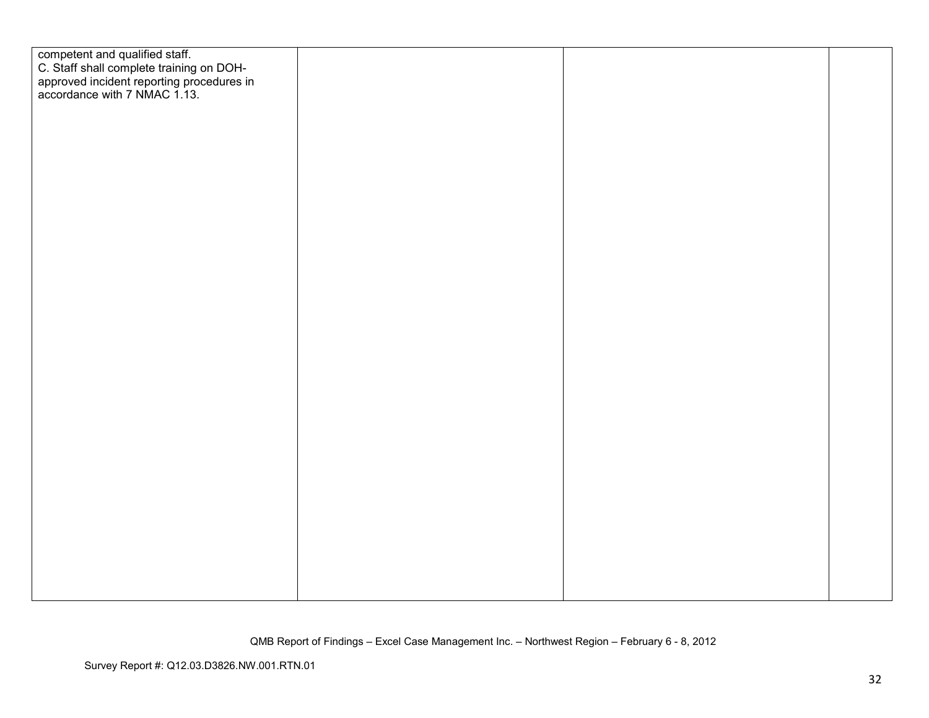| competent and qualified staff.<br>C. Staff shall complete training on DOH-<br>approved incident reporting procedures in<br>accordance with 7 NMAC 1.13. |  |  |
|---------------------------------------------------------------------------------------------------------------------------------------------------------|--|--|
|                                                                                                                                                         |  |  |
|                                                                                                                                                         |  |  |
|                                                                                                                                                         |  |  |
|                                                                                                                                                         |  |  |
|                                                                                                                                                         |  |  |
|                                                                                                                                                         |  |  |
|                                                                                                                                                         |  |  |
|                                                                                                                                                         |  |  |
|                                                                                                                                                         |  |  |
|                                                                                                                                                         |  |  |
|                                                                                                                                                         |  |  |
|                                                                                                                                                         |  |  |
|                                                                                                                                                         |  |  |
|                                                                                                                                                         |  |  |
|                                                                                                                                                         |  |  |
|                                                                                                                                                         |  |  |
|                                                                                                                                                         |  |  |
|                                                                                                                                                         |  |  |
|                                                                                                                                                         |  |  |
|                                                                                                                                                         |  |  |
|                                                                                                                                                         |  |  |
|                                                                                                                                                         |  |  |
|                                                                                                                                                         |  |  |
|                                                                                                                                                         |  |  |
|                                                                                                                                                         |  |  |
|                                                                                                                                                         |  |  |
|                                                                                                                                                         |  |  |
|                                                                                                                                                         |  |  |
|                                                                                                                                                         |  |  |
|                                                                                                                                                         |  |  |
|                                                                                                                                                         |  |  |
|                                                                                                                                                         |  |  |
|                                                                                                                                                         |  |  |
|                                                                                                                                                         |  |  |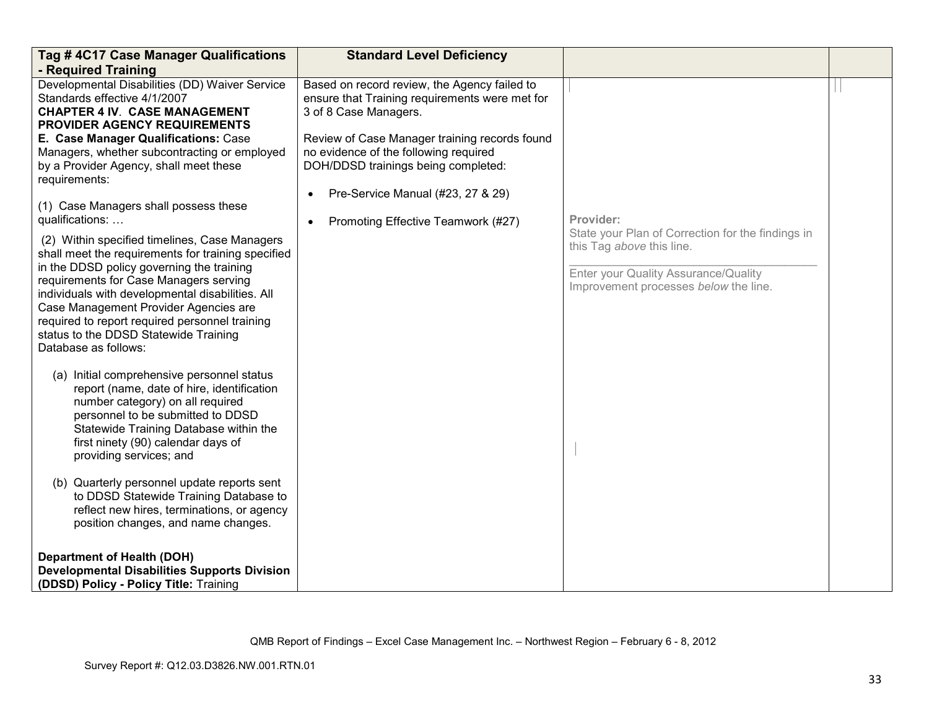| Tag # 4C17 Case Manager Qualifications<br>- Required Training                                                                                                                                                                                                                                                                                                                                                                                                                                                                                                                                                                                                                                                                                                                              | <b>Standard Level Deficiency</b>                                                                                                                                                                                                                                                                                                                 |                                                                                                                                                                              |  |
|--------------------------------------------------------------------------------------------------------------------------------------------------------------------------------------------------------------------------------------------------------------------------------------------------------------------------------------------------------------------------------------------------------------------------------------------------------------------------------------------------------------------------------------------------------------------------------------------------------------------------------------------------------------------------------------------------------------------------------------------------------------------------------------------|--------------------------------------------------------------------------------------------------------------------------------------------------------------------------------------------------------------------------------------------------------------------------------------------------------------------------------------------------|------------------------------------------------------------------------------------------------------------------------------------------------------------------------------|--|
| Developmental Disabilities (DD) Waiver Service<br>Standards effective 4/1/2007<br><b>CHAPTER 4 IV. CASE MANAGEMENT</b><br><b>PROVIDER AGENCY REQUIREMENTS</b><br>E. Case Manager Qualifications: Case<br>Managers, whether subcontracting or employed<br>by a Provider Agency, shall meet these<br>requirements:<br>(1) Case Managers shall possess these<br>qualifications:<br>(2) Within specified timelines, Case Managers<br>shall meet the requirements for training specified<br>in the DDSD policy governing the training<br>requirements for Case Managers serving<br>individuals with developmental disabilities. All<br>Case Management Provider Agencies are<br>required to report required personnel training<br>status to the DDSD Statewide Training<br>Database as follows: | Based on record review, the Agency failed to<br>ensure that Training requirements were met for<br>3 of 8 Case Managers.<br>Review of Case Manager training records found<br>no evidence of the following required<br>DOH/DDSD trainings being completed:<br>Pre-Service Manual (#23, 27 & 29)<br>$\bullet$<br>Promoting Effective Teamwork (#27) | Provider:<br>State your Plan of Correction for the findings in<br>this Tag above this line.<br>Enter your Quality Assurance/Quality<br>Improvement processes below the line. |  |
| (a) Initial comprehensive personnel status<br>report (name, date of hire, identification<br>number category) on all required<br>personnel to be submitted to DDSD<br>Statewide Training Database within the<br>first ninety (90) calendar days of<br>providing services; and<br>(b) Quarterly personnel update reports sent<br>to DDSD Statewide Training Database to<br>reflect new hires, terminations, or agency                                                                                                                                                                                                                                                                                                                                                                        |                                                                                                                                                                                                                                                                                                                                                  |                                                                                                                                                                              |  |
| position changes, and name changes.<br><b>Department of Health (DOH)</b><br><b>Developmental Disabilities Supports Division</b><br>(DDSD) Policy - Policy Title: Training                                                                                                                                                                                                                                                                                                                                                                                                                                                                                                                                                                                                                  |                                                                                                                                                                                                                                                                                                                                                  |                                                                                                                                                                              |  |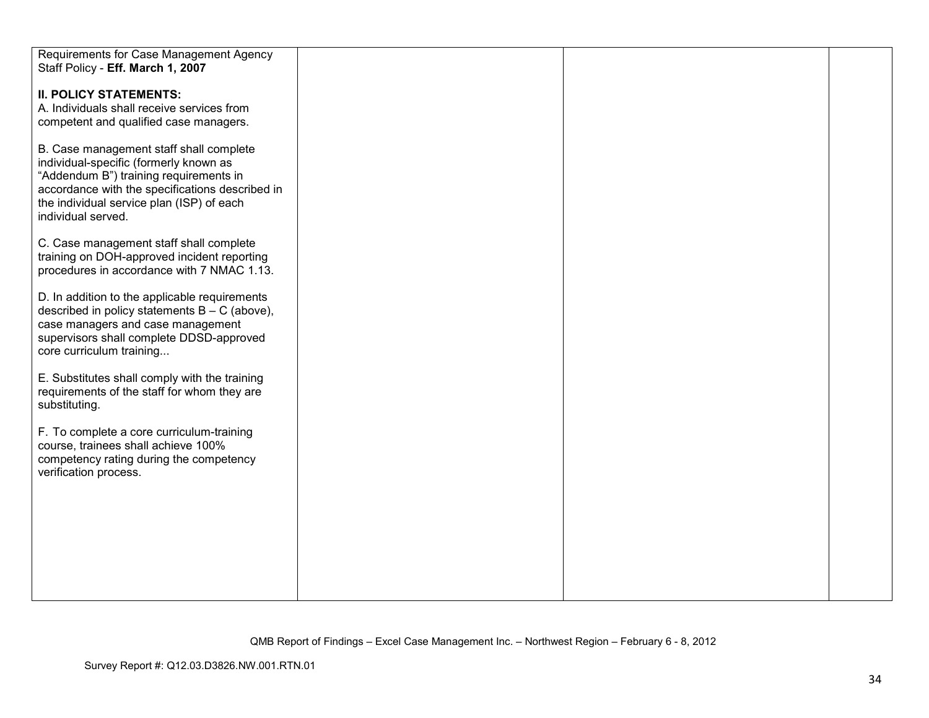| Requirements for Case Management Agency         |  |  |
|-------------------------------------------------|--|--|
| Staff Policy - Eff. March 1, 2007               |  |  |
|                                                 |  |  |
| <b>II. POLICY STATEMENTS:</b>                   |  |  |
| A. Individuals shall receive services from      |  |  |
|                                                 |  |  |
| competent and qualified case managers.          |  |  |
|                                                 |  |  |
| B. Case management staff shall complete         |  |  |
| individual-specific (formerly known as          |  |  |
| "Addendum B") training requirements in          |  |  |
| accordance with the specifications described in |  |  |
| the individual service plan (ISP) of each       |  |  |
| individual served.                              |  |  |
|                                                 |  |  |
|                                                 |  |  |
| C. Case management staff shall complete         |  |  |
| training on DOH-approved incident reporting     |  |  |
| procedures in accordance with 7 NMAC 1.13.      |  |  |
|                                                 |  |  |
| D. In addition to the applicable requirements   |  |  |
| described in policy statements $B - C$ (above), |  |  |
| case managers and case management               |  |  |
| supervisors shall complete DDSD-approved        |  |  |
|                                                 |  |  |
| core curriculum training                        |  |  |
|                                                 |  |  |
| E. Substitutes shall comply with the training   |  |  |
| requirements of the staff for whom they are     |  |  |
| substituting.                                   |  |  |
|                                                 |  |  |
| F. To complete a core curriculum-training       |  |  |
| course, trainees shall achieve 100%             |  |  |
| competency rating during the competency         |  |  |
| verification process.                           |  |  |
|                                                 |  |  |
|                                                 |  |  |
|                                                 |  |  |
|                                                 |  |  |
|                                                 |  |  |
|                                                 |  |  |
|                                                 |  |  |
|                                                 |  |  |
|                                                 |  |  |
|                                                 |  |  |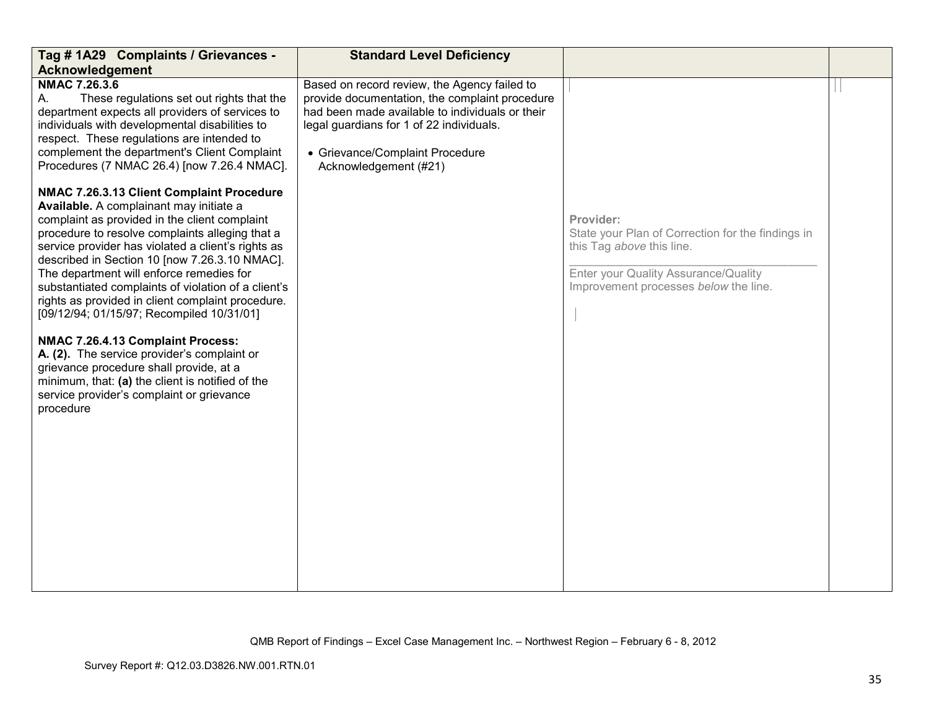| Tag # 1A29 Complaints / Grievances -                                                                                                                                                                                                                                                                                                                                                                                                                                                                                                                                                                                                                                                                                                              | <b>Standard Level Deficiency</b>                                                                                                                                                                                                                          |                                                                                                                                                                              |  |
|---------------------------------------------------------------------------------------------------------------------------------------------------------------------------------------------------------------------------------------------------------------------------------------------------------------------------------------------------------------------------------------------------------------------------------------------------------------------------------------------------------------------------------------------------------------------------------------------------------------------------------------------------------------------------------------------------------------------------------------------------|-----------------------------------------------------------------------------------------------------------------------------------------------------------------------------------------------------------------------------------------------------------|------------------------------------------------------------------------------------------------------------------------------------------------------------------------------|--|
| <b>Acknowledgement</b>                                                                                                                                                                                                                                                                                                                                                                                                                                                                                                                                                                                                                                                                                                                            |                                                                                                                                                                                                                                                           |                                                                                                                                                                              |  |
| <b>NMAC 7.26.3.6</b><br>These regulations set out rights that the<br>А.<br>department expects all providers of services to<br>individuals with developmental disabilities to<br>respect. These regulations are intended to<br>complement the department's Client Complaint<br>Procedures (7 NMAC 26.4) [now 7.26.4 NMAC].                                                                                                                                                                                                                                                                                                                                                                                                                         | Based on record review, the Agency failed to<br>provide documentation, the complaint procedure<br>had been made available to individuals or their<br>legal guardians for 1 of 22 individuals.<br>• Grievance/Complaint Procedure<br>Acknowledgement (#21) |                                                                                                                                                                              |  |
| NMAC 7.26.3.13 Client Complaint Procedure<br>Available. A complainant may initiate a<br>complaint as provided in the client complaint<br>procedure to resolve complaints alleging that a<br>service provider has violated a client's rights as<br>described in Section 10 [now 7.26.3.10 NMAC].<br>The department will enforce remedies for<br>substantiated complaints of violation of a client's<br>rights as provided in client complaint procedure.<br>[09/12/94; 01/15/97; Recompiled 10/31/01]<br>NMAC 7.26.4.13 Complaint Process:<br>A. (2). The service provider's complaint or<br>grievance procedure shall provide, at a<br>minimum, that: (a) the client is notified of the<br>service provider's complaint or grievance<br>procedure |                                                                                                                                                                                                                                                           | Provider:<br>State your Plan of Correction for the findings in<br>this Tag above this line.<br>Enter your Quality Assurance/Quality<br>Improvement processes below the line. |  |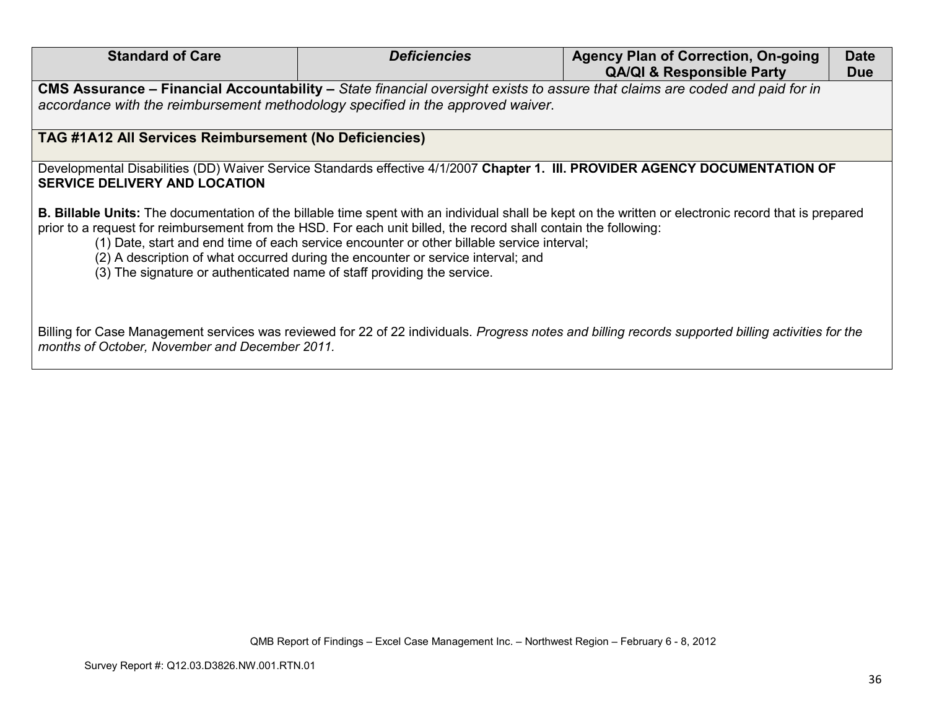| <b>Standard of Care</b>                                                                                                                                                                                        | <b>Deficiencies</b>                                                                                                                                                            | <b>Agency Plan of Correction, On-going</b>                                                                                                                   | <b>Date</b> |  |
|----------------------------------------------------------------------------------------------------------------------------------------------------------------------------------------------------------------|--------------------------------------------------------------------------------------------------------------------------------------------------------------------------------|--------------------------------------------------------------------------------------------------------------------------------------------------------------|-------------|--|
|                                                                                                                                                                                                                |                                                                                                                                                                                | <b>QA/QI &amp; Responsible Party</b>                                                                                                                         | <b>Due</b>  |  |
| CMS Assurance - Financial Accountability - State financial oversight exists to assure that claims are coded and paid for in<br>accordance with the reimbursement methodology specified in the approved waiver. |                                                                                                                                                                                |                                                                                                                                                              |             |  |
| TAG #1A12 All Services Reimbursement (No Deficiencies)                                                                                                                                                         |                                                                                                                                                                                |                                                                                                                                                              |             |  |
| Developmental Disabilities (DD) Waiver Service Standards effective 4/1/2007 Chapter 1. III. PROVIDER AGENCY DOCUMENTATION OF<br><b>SERVICE DELIVERY AND LOCATION</b>                                           |                                                                                                                                                                                |                                                                                                                                                              |             |  |
| prior to a request for reimbursement from the HSD. For each unit billed, the record shall contain the following:<br>(3) The signature or authenticated name of staff providing the service.                    | (1) Date, start and end time of each service encounter or other billable service interval;<br>(2) A description of what occurred during the encounter or service interval; and | <b>B. Billable Units:</b> The documentation of the billable time spent with an individual shall be kept on the written or electronic record that is prepared |             |  |
| months of October, November and December 2011.                                                                                                                                                                 |                                                                                                                                                                                | Billing for Case Management services was reviewed for 22 of 22 individuals. Progress notes and billing records supported billing activities for the          |             |  |